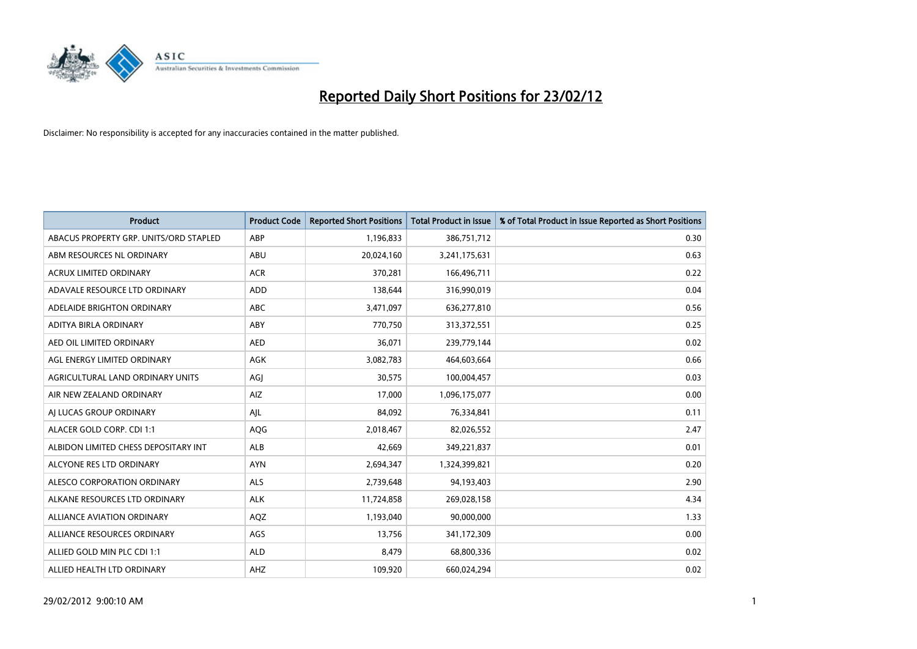

| <b>Product</b>                         | <b>Product Code</b> | <b>Reported Short Positions</b> | <b>Total Product in Issue</b> | % of Total Product in Issue Reported as Short Positions |
|----------------------------------------|---------------------|---------------------------------|-------------------------------|---------------------------------------------------------|
| ABACUS PROPERTY GRP. UNITS/ORD STAPLED | ABP                 | 1,196,833                       | 386,751,712                   | 0.30                                                    |
| ABM RESOURCES NL ORDINARY              | ABU                 | 20,024,160                      | 3,241,175,631                 | 0.63                                                    |
| <b>ACRUX LIMITED ORDINARY</b>          | <b>ACR</b>          | 370,281                         | 166,496,711                   | 0.22                                                    |
| ADAVALE RESOURCE LTD ORDINARY          | <b>ADD</b>          | 138,644                         | 316,990,019                   | 0.04                                                    |
| ADELAIDE BRIGHTON ORDINARY             | <b>ABC</b>          | 3,471,097                       | 636,277,810                   | 0.56                                                    |
| ADITYA BIRLA ORDINARY                  | ABY                 | 770,750                         | 313,372,551                   | 0.25                                                    |
| AED OIL LIMITED ORDINARY               | <b>AED</b>          | 36,071                          | 239,779,144                   | 0.02                                                    |
| AGL ENERGY LIMITED ORDINARY            | AGK                 | 3,082,783                       | 464,603,664                   | 0.66                                                    |
| AGRICULTURAL LAND ORDINARY UNITS       | AGJ                 | 30,575                          | 100,004,457                   | 0.03                                                    |
| AIR NEW ZEALAND ORDINARY               | AIZ                 | 17,000                          | 1,096,175,077                 | 0.00                                                    |
| AJ LUCAS GROUP ORDINARY                | AJL                 | 84,092                          | 76,334,841                    | 0.11                                                    |
| ALACER GOLD CORP. CDI 1:1              | AQG                 | 2,018,467                       | 82,026,552                    | 2.47                                                    |
| ALBIDON LIMITED CHESS DEPOSITARY INT   | <b>ALB</b>          | 42,669                          | 349,221,837                   | 0.01                                                    |
| ALCYONE RES LTD ORDINARY               | <b>AYN</b>          | 2,694,347                       | 1,324,399,821                 | 0.20                                                    |
| ALESCO CORPORATION ORDINARY            | ALS                 | 2,739,648                       | 94,193,403                    | 2.90                                                    |
| ALKANE RESOURCES LTD ORDINARY          | <b>ALK</b>          | 11,724,858                      | 269,028,158                   | 4.34                                                    |
| ALLIANCE AVIATION ORDINARY             | AQZ                 | 1,193,040                       | 90,000,000                    | 1.33                                                    |
| ALLIANCE RESOURCES ORDINARY            | AGS                 | 13,756                          | 341,172,309                   | 0.00                                                    |
| ALLIED GOLD MIN PLC CDI 1:1            | <b>ALD</b>          | 8,479                           | 68,800,336                    | 0.02                                                    |
| ALLIED HEALTH LTD ORDINARY             | AHZ                 | 109,920                         | 660,024,294                   | 0.02                                                    |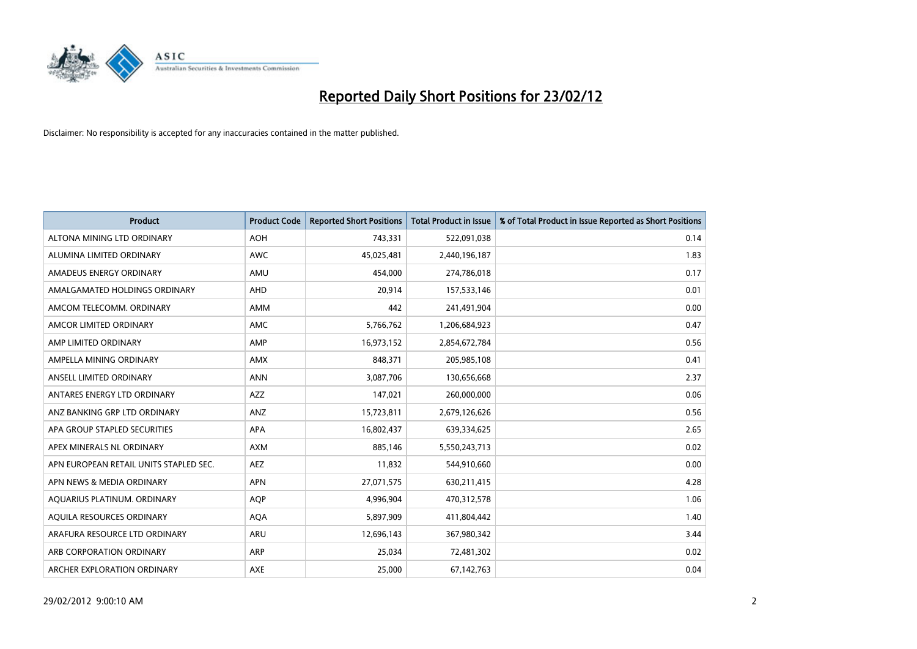

| <b>Product</b>                         | <b>Product Code</b> | <b>Reported Short Positions</b> | <b>Total Product in Issue</b> | % of Total Product in Issue Reported as Short Positions |
|----------------------------------------|---------------------|---------------------------------|-------------------------------|---------------------------------------------------------|
| ALTONA MINING LTD ORDINARY             | <b>AOH</b>          | 743,331                         | 522,091,038                   | 0.14                                                    |
| ALUMINA LIMITED ORDINARY               | <b>AWC</b>          | 45,025,481                      | 2,440,196,187                 | 1.83                                                    |
| AMADEUS ENERGY ORDINARY                | AMU                 | 454,000                         | 274,786,018                   | 0.17                                                    |
| AMALGAMATED HOLDINGS ORDINARY          | AHD                 | 20,914                          | 157,533,146                   | 0.01                                                    |
| AMCOM TELECOMM, ORDINARY               | AMM                 | 442                             | 241,491,904                   | 0.00                                                    |
| AMCOR LIMITED ORDINARY                 | AMC                 | 5,766,762                       | 1,206,684,923                 | 0.47                                                    |
| AMP LIMITED ORDINARY                   | AMP                 | 16,973,152                      | 2,854,672,784                 | 0.56                                                    |
| AMPELLA MINING ORDINARY                | <b>AMX</b>          | 848,371                         | 205,985,108                   | 0.41                                                    |
| ANSELL LIMITED ORDINARY                | <b>ANN</b>          | 3,087,706                       | 130,656,668                   | 2.37                                                    |
| ANTARES ENERGY LTD ORDINARY            | <b>AZZ</b>          | 147,021                         | 260,000,000                   | 0.06                                                    |
| ANZ BANKING GRP LTD ORDINARY           | ANZ                 | 15,723,811                      | 2,679,126,626                 | 0.56                                                    |
| APA GROUP STAPLED SECURITIES           | APA                 | 16,802,437                      | 639,334,625                   | 2.65                                                    |
| APEX MINERALS NL ORDINARY              | <b>AXM</b>          | 885,146                         | 5,550,243,713                 | 0.02                                                    |
| APN EUROPEAN RETAIL UNITS STAPLED SEC. | AEZ                 | 11,832                          | 544,910,660                   | 0.00                                                    |
| APN NEWS & MEDIA ORDINARY              | <b>APN</b>          | 27,071,575                      | 630,211,415                   | 4.28                                                    |
| AQUARIUS PLATINUM. ORDINARY            | <b>AQP</b>          | 4,996,904                       | 470,312,578                   | 1.06                                                    |
| AQUILA RESOURCES ORDINARY              | <b>AQA</b>          | 5,897,909                       | 411,804,442                   | 1.40                                                    |
| ARAFURA RESOURCE LTD ORDINARY          | <b>ARU</b>          | 12,696,143                      | 367,980,342                   | 3.44                                                    |
| ARB CORPORATION ORDINARY               | <b>ARP</b>          | 25,034                          | 72,481,302                    | 0.02                                                    |
| ARCHER EXPLORATION ORDINARY            | AXE                 | 25,000                          | 67,142,763                    | 0.04                                                    |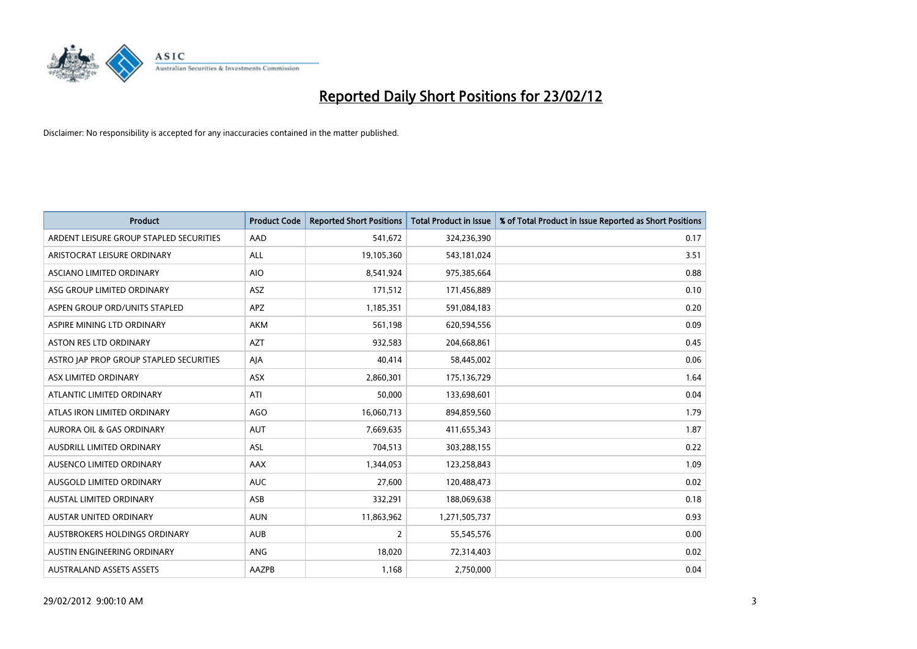

| <b>Product</b>                          | <b>Product Code</b> | <b>Reported Short Positions</b> | <b>Total Product in Issue</b> | % of Total Product in Issue Reported as Short Positions |
|-----------------------------------------|---------------------|---------------------------------|-------------------------------|---------------------------------------------------------|
| ARDENT LEISURE GROUP STAPLED SECURITIES | AAD                 | 541,672                         | 324,236,390                   | 0.17                                                    |
| ARISTOCRAT LEISURE ORDINARY             | ALL                 | 19,105,360                      | 543,181,024                   | 3.51                                                    |
| ASCIANO LIMITED ORDINARY                | <b>AIO</b>          | 8,541,924                       | 975,385,664                   | 0.88                                                    |
| ASG GROUP LIMITED ORDINARY              | ASZ                 | 171,512                         | 171,456,889                   | 0.10                                                    |
| ASPEN GROUP ORD/UNITS STAPLED           | <b>APZ</b>          | 1,185,351                       | 591,084,183                   | 0.20                                                    |
| ASPIRE MINING LTD ORDINARY              | AKM                 | 561,198                         | 620,594,556                   | 0.09                                                    |
| ASTON RES LTD ORDINARY                  | <b>AZT</b>          | 932,583                         | 204,668,861                   | 0.45                                                    |
| ASTRO JAP PROP GROUP STAPLED SECURITIES | AJA                 | 40,414                          | 58,445,002                    | 0.06                                                    |
| ASX LIMITED ORDINARY                    | ASX                 | 2,860,301                       | 175,136,729                   | 1.64                                                    |
| ATLANTIC LIMITED ORDINARY               | ATI                 | 50,000                          | 133,698,601                   | 0.04                                                    |
| ATLAS IRON LIMITED ORDINARY             | <b>AGO</b>          | 16,060,713                      | 894,859,560                   | 1.79                                                    |
| AURORA OIL & GAS ORDINARY               | <b>AUT</b>          | 7,669,635                       | 411,655,343                   | 1.87                                                    |
| AUSDRILL LIMITED ORDINARY               | ASL                 | 704,513                         | 303,288,155                   | 0.22                                                    |
| AUSENCO LIMITED ORDINARY                | AAX                 | 1,344,053                       | 123,258,843                   | 1.09                                                    |
| AUSGOLD LIMITED ORDINARY                | <b>AUC</b>          | 27,600                          | 120,488,473                   | 0.02                                                    |
| AUSTAL LIMITED ORDINARY                 | ASB                 | 332,291                         | 188,069,638                   | 0.18                                                    |
| AUSTAR UNITED ORDINARY                  | <b>AUN</b>          | 11,863,962                      | 1,271,505,737                 | 0.93                                                    |
| AUSTBROKERS HOLDINGS ORDINARY           | <b>AUB</b>          | $\overline{2}$                  | 55,545,576                    | 0.00                                                    |
| AUSTIN ENGINEERING ORDINARY             | ANG                 | 18,020                          | 72,314,403                    | 0.02                                                    |
| <b>AUSTRALAND ASSETS ASSETS</b>         | AAZPB               | 1,168                           | 2,750,000                     | 0.04                                                    |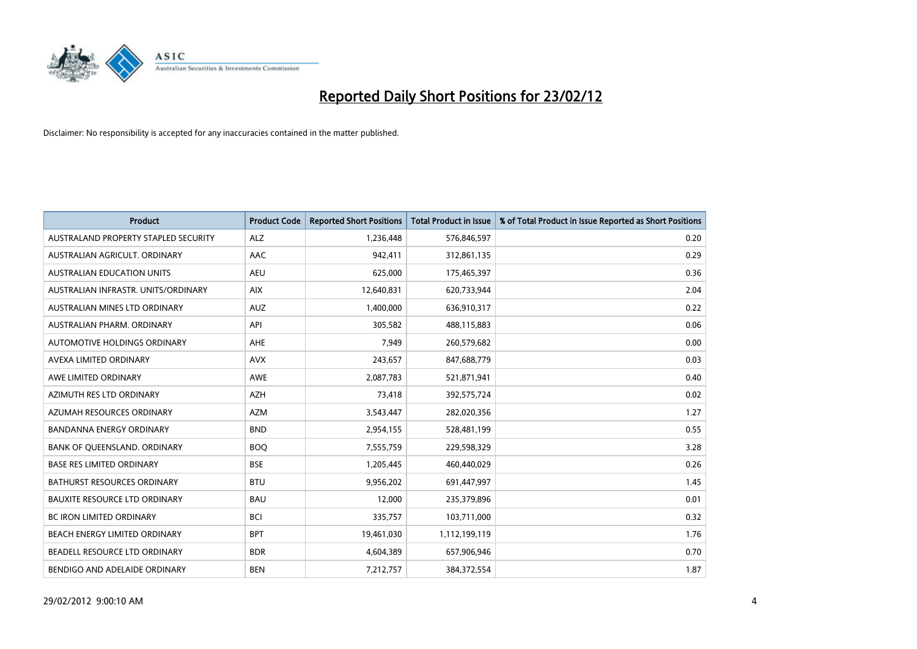

| <b>Product</b>                       | <b>Product Code</b> | <b>Reported Short Positions</b> | <b>Total Product in Issue</b> | % of Total Product in Issue Reported as Short Positions |
|--------------------------------------|---------------------|---------------------------------|-------------------------------|---------------------------------------------------------|
| AUSTRALAND PROPERTY STAPLED SECURITY | <b>ALZ</b>          | 1,236,448                       | 576,846,597                   | 0.20                                                    |
| AUSTRALIAN AGRICULT. ORDINARY        | AAC                 | 942,411                         | 312,861,135                   | 0.29                                                    |
| AUSTRALIAN EDUCATION UNITS           | <b>AEU</b>          | 625,000                         | 175,465,397                   | 0.36                                                    |
| AUSTRALIAN INFRASTR, UNITS/ORDINARY  | <b>AIX</b>          | 12,640,831                      | 620,733,944                   | 2.04                                                    |
| AUSTRALIAN MINES LTD ORDINARY        | <b>AUZ</b>          | 1,400,000                       | 636,910,317                   | 0.22                                                    |
| AUSTRALIAN PHARM, ORDINARY           | API                 | 305,582                         | 488,115,883                   | 0.06                                                    |
| AUTOMOTIVE HOLDINGS ORDINARY         | AHE                 | 7,949                           | 260,579,682                   | 0.00                                                    |
| AVEXA LIMITED ORDINARY               | <b>AVX</b>          | 243,657                         | 847,688,779                   | 0.03                                                    |
| AWE LIMITED ORDINARY                 | <b>AWE</b>          | 2,087,783                       | 521,871,941                   | 0.40                                                    |
| AZIMUTH RES LTD ORDINARY             | <b>AZH</b>          | 73,418                          | 392,575,724                   | 0.02                                                    |
| AZUMAH RESOURCES ORDINARY            | <b>AZM</b>          | 3,543,447                       | 282,020,356                   | 1.27                                                    |
| BANDANNA ENERGY ORDINARY             | <b>BND</b>          | 2,954,155                       | 528,481,199                   | 0.55                                                    |
| BANK OF QUEENSLAND. ORDINARY         | <b>BOO</b>          | 7,555,759                       | 229,598,329                   | 3.28                                                    |
| <b>BASE RES LIMITED ORDINARY</b>     | <b>BSE</b>          | 1,205,445                       | 460,440,029                   | 0.26                                                    |
| <b>BATHURST RESOURCES ORDINARY</b>   | <b>BTU</b>          | 9,956,202                       | 691,447,997                   | 1.45                                                    |
| <b>BAUXITE RESOURCE LTD ORDINARY</b> | <b>BAU</b>          | 12,000                          | 235,379,896                   | 0.01                                                    |
| BC IRON LIMITED ORDINARY             | <b>BCI</b>          | 335,757                         | 103,711,000                   | 0.32                                                    |
| BEACH ENERGY LIMITED ORDINARY        | <b>BPT</b>          | 19,461,030                      | 1,112,199,119                 | 1.76                                                    |
| <b>BEADELL RESOURCE LTD ORDINARY</b> | <b>BDR</b>          | 4,604,389                       | 657,906,946                   | 0.70                                                    |
| BENDIGO AND ADELAIDE ORDINARY        | <b>BEN</b>          | 7,212,757                       | 384,372,554                   | 1.87                                                    |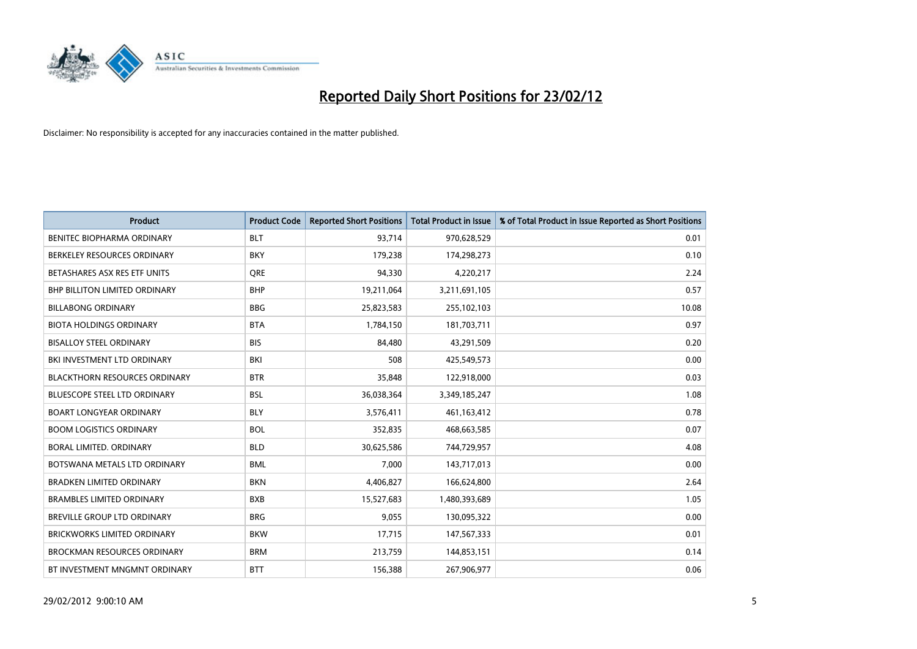

| <b>Product</b>                       | <b>Product Code</b> | <b>Reported Short Positions</b> | <b>Total Product in Issue</b> | % of Total Product in Issue Reported as Short Positions |
|--------------------------------------|---------------------|---------------------------------|-------------------------------|---------------------------------------------------------|
| <b>BENITEC BIOPHARMA ORDINARY</b>    | <b>BLT</b>          | 93,714                          | 970,628,529                   | 0.01                                                    |
| BERKELEY RESOURCES ORDINARY          | <b>BKY</b>          | 179,238                         | 174,298,273                   | 0.10                                                    |
| BETASHARES ASX RES ETF UNITS         | <b>ORE</b>          | 94,330                          | 4,220,217                     | 2.24                                                    |
| BHP BILLITON LIMITED ORDINARY        | <b>BHP</b>          | 19,211,064                      | 3,211,691,105                 | 0.57                                                    |
| <b>BILLABONG ORDINARY</b>            | <b>BBG</b>          | 25,823,583                      | 255,102,103                   | 10.08                                                   |
| <b>BIOTA HOLDINGS ORDINARY</b>       | <b>BTA</b>          | 1,784,150                       | 181,703,711                   | 0.97                                                    |
| <b>BISALLOY STEEL ORDINARY</b>       | <b>BIS</b>          | 84,480                          | 43,291,509                    | 0.20                                                    |
| BKI INVESTMENT LTD ORDINARY          | BKI                 | 508                             | 425,549,573                   | 0.00                                                    |
| <b>BLACKTHORN RESOURCES ORDINARY</b> | <b>BTR</b>          | 35,848                          | 122,918,000                   | 0.03                                                    |
| <b>BLUESCOPE STEEL LTD ORDINARY</b>  | <b>BSL</b>          | 36,038,364                      | 3,349,185,247                 | 1.08                                                    |
| <b>BOART LONGYEAR ORDINARY</b>       | BLY                 | 3,576,411                       | 461,163,412                   | 0.78                                                    |
| <b>BOOM LOGISTICS ORDINARY</b>       | <b>BOL</b>          | 352,835                         | 468,663,585                   | 0.07                                                    |
| BORAL LIMITED, ORDINARY              | <b>BLD</b>          | 30,625,586                      | 744,729,957                   | 4.08                                                    |
| BOTSWANA METALS LTD ORDINARY         | <b>BML</b>          | 7,000                           | 143,717,013                   | 0.00                                                    |
| <b>BRADKEN LIMITED ORDINARY</b>      | <b>BKN</b>          | 4,406,827                       | 166,624,800                   | 2.64                                                    |
| <b>BRAMBLES LIMITED ORDINARY</b>     | <b>BXB</b>          | 15,527,683                      | 1,480,393,689                 | 1.05                                                    |
| BREVILLE GROUP LTD ORDINARY          | <b>BRG</b>          | 9,055                           | 130,095,322                   | 0.00                                                    |
| <b>BRICKWORKS LIMITED ORDINARY</b>   | <b>BKW</b>          | 17,715                          | 147,567,333                   | 0.01                                                    |
| <b>BROCKMAN RESOURCES ORDINARY</b>   | <b>BRM</b>          | 213,759                         | 144,853,151                   | 0.14                                                    |
| BT INVESTMENT MNGMNT ORDINARY        | <b>BTT</b>          | 156,388                         | 267,906,977                   | 0.06                                                    |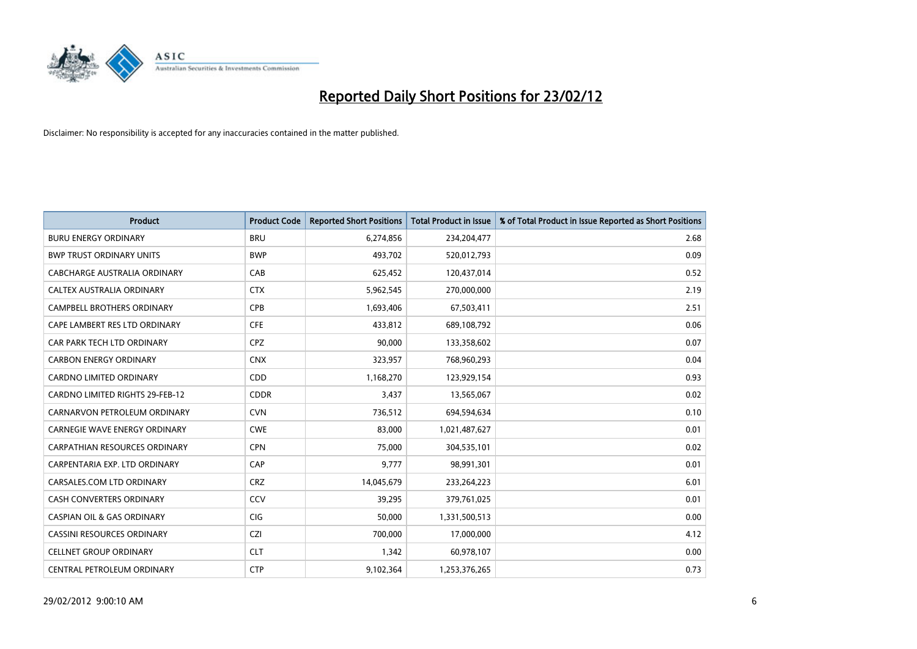

| <b>Product</b>                        | <b>Product Code</b> | <b>Reported Short Positions</b> | <b>Total Product in Issue</b> | % of Total Product in Issue Reported as Short Positions |
|---------------------------------------|---------------------|---------------------------------|-------------------------------|---------------------------------------------------------|
| <b>BURU ENERGY ORDINARY</b>           | <b>BRU</b>          | 6,274,856                       | 234,204,477                   | 2.68                                                    |
| <b>BWP TRUST ORDINARY UNITS</b>       | <b>BWP</b>          | 493,702                         | 520,012,793                   | 0.09                                                    |
| CABCHARGE AUSTRALIA ORDINARY          | CAB                 | 625,452                         | 120,437,014                   | 0.52                                                    |
| CALTEX AUSTRALIA ORDINARY             | <b>CTX</b>          | 5,962,545                       | 270,000,000                   | 2.19                                                    |
| <b>CAMPBELL BROTHERS ORDINARY</b>     | <b>CPB</b>          | 1,693,406                       | 67,503,411                    | 2.51                                                    |
| CAPE LAMBERT RES LTD ORDINARY         | <b>CFE</b>          | 433,812                         | 689,108,792                   | 0.06                                                    |
| CAR PARK TECH LTD ORDINARY            | <b>CPZ</b>          | 90.000                          | 133,358,602                   | 0.07                                                    |
| <b>CARBON ENERGY ORDINARY</b>         | <b>CNX</b>          | 323,957                         | 768,960,293                   | 0.04                                                    |
| CARDNO LIMITED ORDINARY               | CDD                 | 1,168,270                       | 123,929,154                   | 0.93                                                    |
| CARDNO LIMITED RIGHTS 29-FEB-12       | <b>CDDR</b>         | 3,437                           | 13,565,067                    | 0.02                                                    |
| CARNARVON PETROLEUM ORDINARY          | <b>CVN</b>          | 736,512                         | 694,594,634                   | 0.10                                                    |
| <b>CARNEGIE WAVE ENERGY ORDINARY</b>  | <b>CWE</b>          | 83,000                          | 1,021,487,627                 | 0.01                                                    |
| <b>CARPATHIAN RESOURCES ORDINARY</b>  | <b>CPN</b>          | 75,000                          | 304,535,101                   | 0.02                                                    |
| CARPENTARIA EXP. LTD ORDINARY         | CAP                 | 9,777                           | 98,991,301                    | 0.01                                                    |
| CARSALES.COM LTD ORDINARY             | <b>CRZ</b>          | 14,045,679                      | 233,264,223                   | 6.01                                                    |
| CASH CONVERTERS ORDINARY              | CCV                 | 39,295                          | 379,761,025                   | 0.01                                                    |
| <b>CASPIAN OIL &amp; GAS ORDINARY</b> | <b>CIG</b>          | 50,000                          | 1,331,500,513                 | 0.00                                                    |
| CASSINI RESOURCES ORDINARY            | <b>CZI</b>          | 700,000                         | 17,000,000                    | 4.12                                                    |
| <b>CELLNET GROUP ORDINARY</b>         | <b>CLT</b>          | 1,342                           | 60,978,107                    | 0.00                                                    |
| CENTRAL PETROLEUM ORDINARY            | <b>CTP</b>          | 9,102,364                       | 1,253,376,265                 | 0.73                                                    |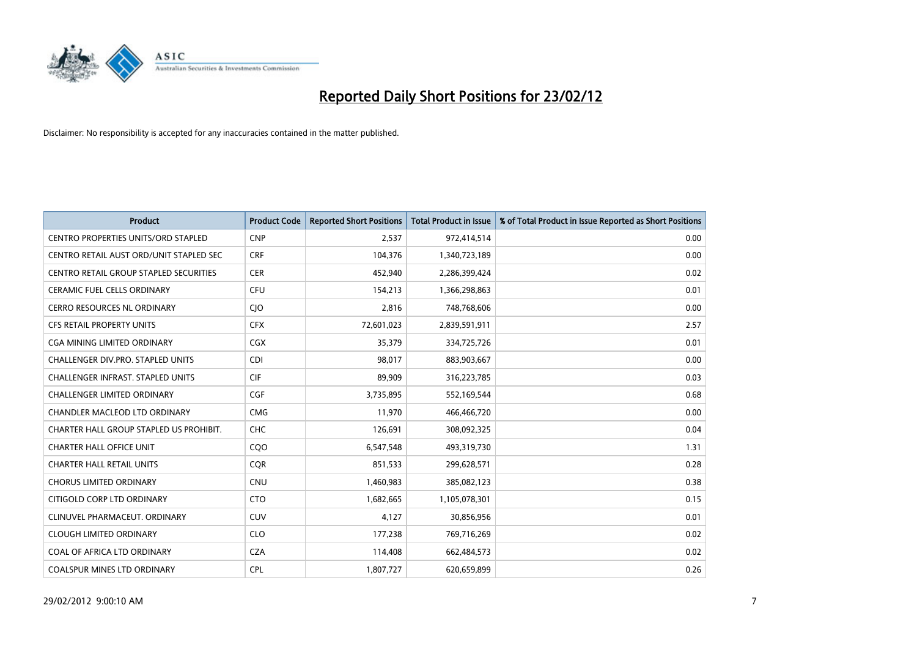

| <b>Product</b>                                | <b>Product Code</b> | <b>Reported Short Positions</b> | <b>Total Product in Issue</b> | % of Total Product in Issue Reported as Short Positions |
|-----------------------------------------------|---------------------|---------------------------------|-------------------------------|---------------------------------------------------------|
| <b>CENTRO PROPERTIES UNITS/ORD STAPLED</b>    | <b>CNP</b>          | 2,537                           | 972,414,514                   | 0.00                                                    |
| CENTRO RETAIL AUST ORD/UNIT STAPLED SEC       | <b>CRF</b>          | 104,376                         | 1,340,723,189                 | 0.00                                                    |
| <b>CENTRO RETAIL GROUP STAPLED SECURITIES</b> | <b>CER</b>          | 452,940                         | 2,286,399,424                 | 0.02                                                    |
| <b>CERAMIC FUEL CELLS ORDINARY</b>            | <b>CFU</b>          | 154,213                         | 1,366,298,863                 | 0.01                                                    |
| <b>CERRO RESOURCES NL ORDINARY</b>            | CJO                 | 2,816                           | 748,768,606                   | 0.00                                                    |
| CFS RETAIL PROPERTY UNITS                     | <b>CFX</b>          | 72,601,023                      | 2,839,591,911                 | 2.57                                                    |
| CGA MINING LIMITED ORDINARY                   | CGX                 | 35,379                          | 334,725,726                   | 0.01                                                    |
| CHALLENGER DIV.PRO. STAPLED UNITS             | CDI                 | 98,017                          | 883,903,667                   | 0.00                                                    |
| <b>CHALLENGER INFRAST, STAPLED UNITS</b>      | <b>CIF</b>          | 89.909                          | 316,223,785                   | 0.03                                                    |
| <b>CHALLENGER LIMITED ORDINARY</b>            | <b>CGF</b>          | 3,735,895                       | 552,169,544                   | 0.68                                                    |
| CHANDLER MACLEOD LTD ORDINARY                 | <b>CMG</b>          | 11,970                          | 466,466,720                   | 0.00                                                    |
| CHARTER HALL GROUP STAPLED US PROHIBIT.       | <b>CHC</b>          | 126,691                         | 308,092,325                   | 0.04                                                    |
| <b>CHARTER HALL OFFICE UNIT</b>               | COO                 | 6,547,548                       | 493,319,730                   | 1.31                                                    |
| <b>CHARTER HALL RETAIL UNITS</b>              | <b>COR</b>          | 851,533                         | 299,628,571                   | 0.28                                                    |
| <b>CHORUS LIMITED ORDINARY</b>                | <b>CNU</b>          | 1,460,983                       | 385,082,123                   | 0.38                                                    |
| CITIGOLD CORP LTD ORDINARY                    | <b>CTO</b>          | 1,682,665                       | 1,105,078,301                 | 0.15                                                    |
| CLINUVEL PHARMACEUT. ORDINARY                 | <b>CUV</b>          | 4,127                           | 30,856,956                    | 0.01                                                    |
| <b>CLOUGH LIMITED ORDINARY</b>                | <b>CLO</b>          | 177,238                         | 769,716,269                   | 0.02                                                    |
| COAL OF AFRICA LTD ORDINARY                   | <b>CZA</b>          | 114,408                         | 662,484,573                   | 0.02                                                    |
| <b>COALSPUR MINES LTD ORDINARY</b>            | <b>CPL</b>          | 1,807,727                       | 620,659,899                   | 0.26                                                    |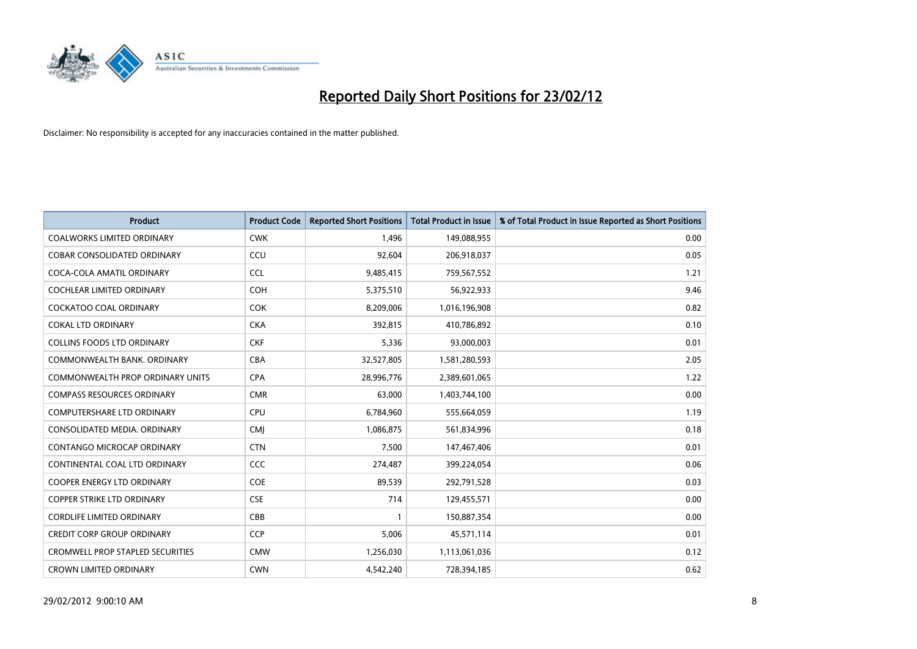

| <b>Product</b>                          | <b>Product Code</b> | <b>Reported Short Positions</b> | <b>Total Product in Issue</b> | % of Total Product in Issue Reported as Short Positions |
|-----------------------------------------|---------------------|---------------------------------|-------------------------------|---------------------------------------------------------|
| <b>COALWORKS LIMITED ORDINARY</b>       | <b>CWK</b>          | 1.496                           | 149,088,955                   | 0.00                                                    |
| <b>COBAR CONSOLIDATED ORDINARY</b>      | CCU                 | 92,604                          | 206,918,037                   | 0.05                                                    |
| COCA-COLA AMATIL ORDINARY               | <b>CCL</b>          | 9,485,415                       | 759,567,552                   | 1.21                                                    |
| COCHLEAR LIMITED ORDINARY               | <b>COH</b>          | 5,375,510                       | 56,922,933                    | 9.46                                                    |
| <b>COCKATOO COAL ORDINARY</b>           | <b>COK</b>          | 8,209,006                       | 1,016,196,908                 | 0.82                                                    |
| <b>COKAL LTD ORDINARY</b>               | <b>CKA</b>          | 392,815                         | 410,786,892                   | 0.10                                                    |
| <b>COLLINS FOODS LTD ORDINARY</b>       | <b>CKF</b>          | 5,336                           | 93,000,003                    | 0.01                                                    |
| COMMONWEALTH BANK, ORDINARY             | <b>CBA</b>          | 32,527,805                      | 1,581,280,593                 | 2.05                                                    |
| COMMONWEALTH PROP ORDINARY UNITS        | <b>CPA</b>          | 28,996,776                      | 2,389,601,065                 | 1.22                                                    |
| <b>COMPASS RESOURCES ORDINARY</b>       | <b>CMR</b>          | 63,000                          | 1,403,744,100                 | 0.00                                                    |
| <b>COMPUTERSHARE LTD ORDINARY</b>       | <b>CPU</b>          | 6,784,960                       | 555,664,059                   | 1.19                                                    |
| CONSOLIDATED MEDIA, ORDINARY            | <b>CMI</b>          | 1,086,875                       | 561,834,996                   | 0.18                                                    |
| CONTANGO MICROCAP ORDINARY              | <b>CTN</b>          | 7,500                           | 147,467,406                   | 0.01                                                    |
| CONTINENTAL COAL LTD ORDINARY           | <b>CCC</b>          | 274,487                         | 399,224,054                   | 0.06                                                    |
| <b>COOPER ENERGY LTD ORDINARY</b>       | <b>COE</b>          | 89,539                          | 292,791,528                   | 0.03                                                    |
| <b>COPPER STRIKE LTD ORDINARY</b>       | <b>CSE</b>          | 714                             | 129,455,571                   | 0.00                                                    |
| <b>CORDLIFE LIMITED ORDINARY</b>        | CBB                 | $\mathbf{1}$                    | 150,887,354                   | 0.00                                                    |
| <b>CREDIT CORP GROUP ORDINARY</b>       | <b>CCP</b>          | 5,006                           | 45,571,114                    | 0.01                                                    |
| <b>CROMWELL PROP STAPLED SECURITIES</b> | <b>CMW</b>          | 1,256,030                       | 1,113,061,036                 | 0.12                                                    |
| <b>CROWN LIMITED ORDINARY</b>           | <b>CWN</b>          | 4,542,240                       | 728,394,185                   | 0.62                                                    |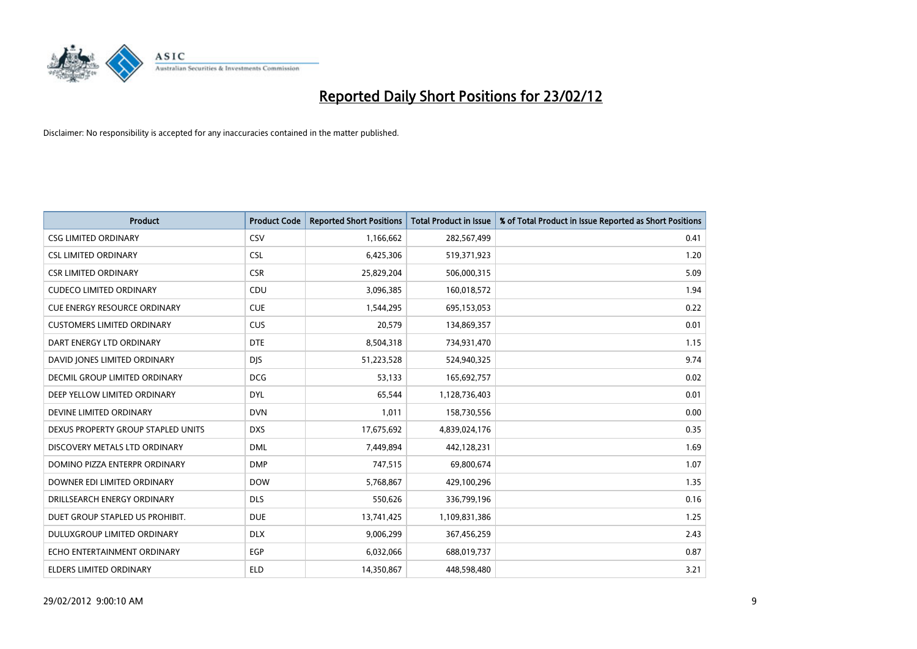

| <b>Product</b>                      | <b>Product Code</b> | <b>Reported Short Positions</b> | <b>Total Product in Issue</b> | % of Total Product in Issue Reported as Short Positions |
|-------------------------------------|---------------------|---------------------------------|-------------------------------|---------------------------------------------------------|
| <b>CSG LIMITED ORDINARY</b>         | CSV                 | 1,166,662                       | 282,567,499                   | 0.41                                                    |
| <b>CSL LIMITED ORDINARY</b>         | <b>CSL</b>          | 6,425,306                       | 519,371,923                   | 1.20                                                    |
| <b>CSR LIMITED ORDINARY</b>         | <b>CSR</b>          | 25,829,204                      | 506,000,315                   | 5.09                                                    |
| <b>CUDECO LIMITED ORDINARY</b>      | CDU                 | 3,096,385                       | 160,018,572                   | 1.94                                                    |
| <b>CUE ENERGY RESOURCE ORDINARY</b> | <b>CUE</b>          | 1,544,295                       | 695,153,053                   | 0.22                                                    |
| <b>CUSTOMERS LIMITED ORDINARY</b>   | <b>CUS</b>          | 20,579                          | 134,869,357                   | 0.01                                                    |
| DART ENERGY LTD ORDINARY            | <b>DTE</b>          | 8,504,318                       | 734,931,470                   | 1.15                                                    |
| DAVID JONES LIMITED ORDINARY        | <b>DJS</b>          | 51,223,528                      | 524,940,325                   | 9.74                                                    |
| DECMIL GROUP LIMITED ORDINARY       | <b>DCG</b>          | 53,133                          | 165,692,757                   | 0.02                                                    |
| DEEP YELLOW LIMITED ORDINARY        | <b>DYL</b>          | 65,544                          | 1,128,736,403                 | 0.01                                                    |
| DEVINE LIMITED ORDINARY             | <b>DVN</b>          | 1,011                           | 158,730,556                   | 0.00                                                    |
| DEXUS PROPERTY GROUP STAPLED UNITS  | <b>DXS</b>          | 17,675,692                      | 4,839,024,176                 | 0.35                                                    |
| DISCOVERY METALS LTD ORDINARY       | <b>DML</b>          | 7,449,894                       | 442,128,231                   | 1.69                                                    |
| DOMINO PIZZA ENTERPR ORDINARY       | <b>DMP</b>          | 747,515                         | 69,800,674                    | 1.07                                                    |
| DOWNER EDI LIMITED ORDINARY         | <b>DOW</b>          | 5,768,867                       | 429,100,296                   | 1.35                                                    |
| DRILLSEARCH ENERGY ORDINARY         | <b>DLS</b>          | 550,626                         | 336,799,196                   | 0.16                                                    |
| DUET GROUP STAPLED US PROHIBIT.     | <b>DUE</b>          | 13,741,425                      | 1,109,831,386                 | 1.25                                                    |
| DULUXGROUP LIMITED ORDINARY         | <b>DLX</b>          | 9,006,299                       | 367,456,259                   | 2.43                                                    |
| ECHO ENTERTAINMENT ORDINARY         | <b>EGP</b>          | 6,032,066                       | 688,019,737                   | 0.87                                                    |
| ELDERS LIMITED ORDINARY             | <b>ELD</b>          | 14,350,867                      | 448,598,480                   | 3.21                                                    |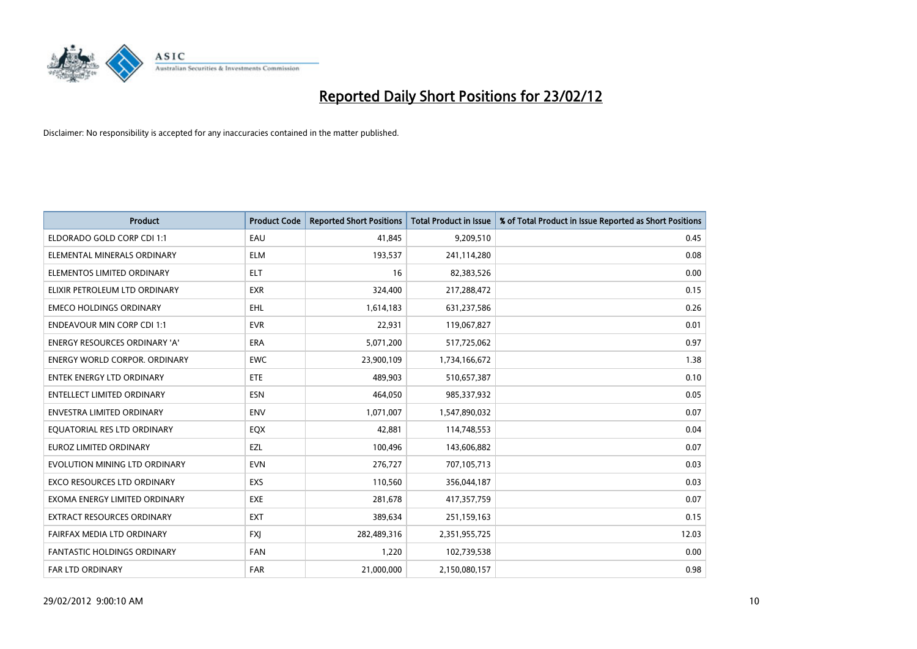

| <b>Product</b>                     | <b>Product Code</b> | <b>Reported Short Positions</b> | <b>Total Product in Issue</b> | % of Total Product in Issue Reported as Short Positions |
|------------------------------------|---------------------|---------------------------------|-------------------------------|---------------------------------------------------------|
| ELDORADO GOLD CORP CDI 1:1         | EAU                 | 41,845                          | 9,209,510                     | 0.45                                                    |
| ELEMENTAL MINERALS ORDINARY        | ELM                 | 193,537                         | 241,114,280                   | 0.08                                                    |
| ELEMENTOS LIMITED ORDINARY         | ELT                 | 16                              | 82,383,526                    | 0.00                                                    |
| ELIXIR PETROLEUM LTD ORDINARY      | <b>EXR</b>          | 324,400                         | 217,288,472                   | 0.15                                                    |
| <b>EMECO HOLDINGS ORDINARY</b>     | <b>EHL</b>          | 1,614,183                       | 631,237,586                   | 0.26                                                    |
| <b>ENDEAVOUR MIN CORP CDI 1:1</b>  | <b>EVR</b>          | 22,931                          | 119,067,827                   | 0.01                                                    |
| ENERGY RESOURCES ORDINARY 'A'      | <b>ERA</b>          | 5,071,200                       | 517,725,062                   | 0.97                                                    |
| ENERGY WORLD CORPOR. ORDINARY      | <b>EWC</b>          | 23,900,109                      | 1,734,166,672                 | 1.38                                                    |
| ENTEK ENERGY LTD ORDINARY          | ETE                 | 489,903                         | 510,657,387                   | 0.10                                                    |
| <b>ENTELLECT LIMITED ORDINARY</b>  | <b>ESN</b>          | 464,050                         | 985,337,932                   | 0.05                                                    |
| <b>ENVESTRA LIMITED ORDINARY</b>   | <b>ENV</b>          | 1,071,007                       | 1,547,890,032                 | 0.07                                                    |
| EQUATORIAL RES LTD ORDINARY        | EQX                 | 42,881                          | 114,748,553                   | 0.04                                                    |
| EUROZ LIMITED ORDINARY             | EZL                 | 100,496                         | 143,606,882                   | 0.07                                                    |
| EVOLUTION MINING LTD ORDINARY      | <b>EVN</b>          | 276,727                         | 707,105,713                   | 0.03                                                    |
| <b>EXCO RESOURCES LTD ORDINARY</b> | EXS                 | 110,560                         | 356,044,187                   | 0.03                                                    |
| EXOMA ENERGY LIMITED ORDINARY      | <b>EXE</b>          | 281,678                         | 417,357,759                   | 0.07                                                    |
| EXTRACT RESOURCES ORDINARY         | <b>EXT</b>          | 389,634                         | 251,159,163                   | 0.15                                                    |
| FAIRFAX MEDIA LTD ORDINARY         | <b>FXI</b>          | 282,489,316                     | 2,351,955,725                 | 12.03                                                   |
| <b>FANTASTIC HOLDINGS ORDINARY</b> | <b>FAN</b>          | 1,220                           | 102,739,538                   | 0.00                                                    |
| <b>FAR LTD ORDINARY</b>            | <b>FAR</b>          | 21,000,000                      | 2,150,080,157                 | 0.98                                                    |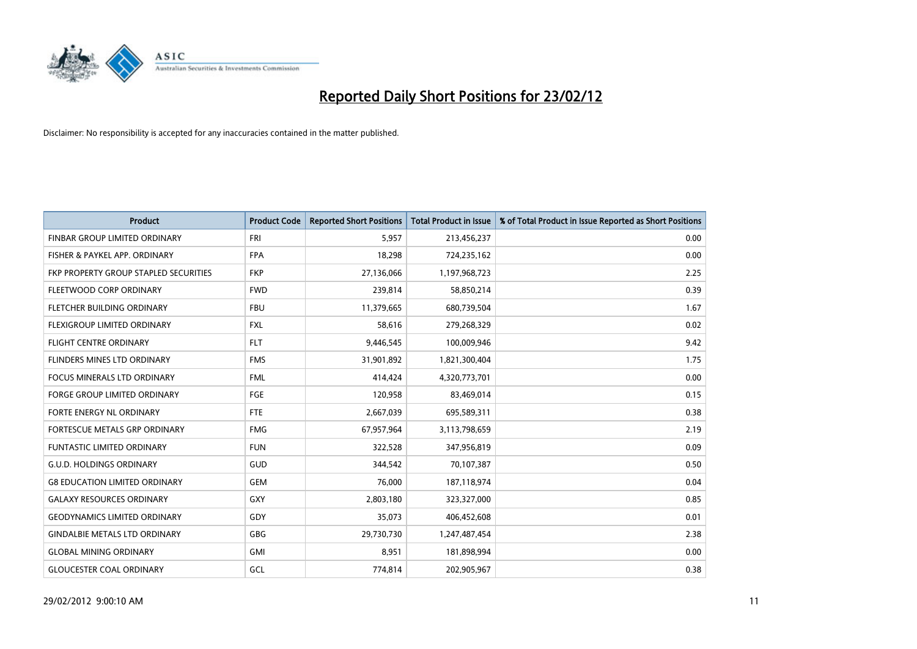

| <b>Product</b>                        | <b>Product Code</b> | <b>Reported Short Positions</b> | <b>Total Product in Issue</b> | % of Total Product in Issue Reported as Short Positions |
|---------------------------------------|---------------------|---------------------------------|-------------------------------|---------------------------------------------------------|
| FINBAR GROUP LIMITED ORDINARY         | <b>FRI</b>          | 5,957                           | 213,456,237                   | 0.00                                                    |
| FISHER & PAYKEL APP. ORDINARY         | <b>FPA</b>          | 18,298                          | 724,235,162                   | 0.00                                                    |
| FKP PROPERTY GROUP STAPLED SECURITIES | <b>FKP</b>          | 27,136,066                      | 1,197,968,723                 | 2.25                                                    |
| FLEETWOOD CORP ORDINARY               | <b>FWD</b>          | 239,814                         | 58,850,214                    | 0.39                                                    |
| FLETCHER BUILDING ORDINARY            | <b>FBU</b>          | 11,379,665                      | 680,739,504                   | 1.67                                                    |
| FLEXIGROUP LIMITED ORDINARY           | <b>FXL</b>          | 58,616                          | 279,268,329                   | 0.02                                                    |
| <b>FLIGHT CENTRE ORDINARY</b>         | <b>FLT</b>          | 9,446,545                       | 100,009,946                   | 9.42                                                    |
| FLINDERS MINES LTD ORDINARY           | <b>FMS</b>          | 31,901,892                      | 1,821,300,404                 | 1.75                                                    |
| <b>FOCUS MINERALS LTD ORDINARY</b>    | <b>FML</b>          | 414,424                         | 4,320,773,701                 | 0.00                                                    |
| FORGE GROUP LIMITED ORDINARY          | FGE                 | 120,958                         | 83,469,014                    | 0.15                                                    |
| FORTE ENERGY NL ORDINARY              | FTE                 | 2,667,039                       | 695,589,311                   | 0.38                                                    |
| <b>FORTESCUE METALS GRP ORDINARY</b>  | <b>FMG</b>          | 67,957,964                      | 3,113,798,659                 | 2.19                                                    |
| <b>FUNTASTIC LIMITED ORDINARY</b>     | <b>FUN</b>          | 322,528                         | 347,956,819                   | 0.09                                                    |
| <b>G.U.D. HOLDINGS ORDINARY</b>       | GUD                 | 344,542                         | 70,107,387                    | 0.50                                                    |
| <b>G8 EDUCATION LIMITED ORDINARY</b>  | <b>GEM</b>          | 76,000                          | 187,118,974                   | 0.04                                                    |
| <b>GALAXY RESOURCES ORDINARY</b>      | GXY                 | 2,803,180                       | 323,327,000                   | 0.85                                                    |
| <b>GEODYNAMICS LIMITED ORDINARY</b>   | GDY                 | 35,073                          | 406,452,608                   | 0.01                                                    |
| <b>GINDALBIE METALS LTD ORDINARY</b>  | GBG                 | 29,730,730                      | 1,247,487,454                 | 2.38                                                    |
| <b>GLOBAL MINING ORDINARY</b>         | GMI                 | 8,951                           | 181,898,994                   | 0.00                                                    |
| <b>GLOUCESTER COAL ORDINARY</b>       | GCL                 | 774,814                         | 202,905,967                   | 0.38                                                    |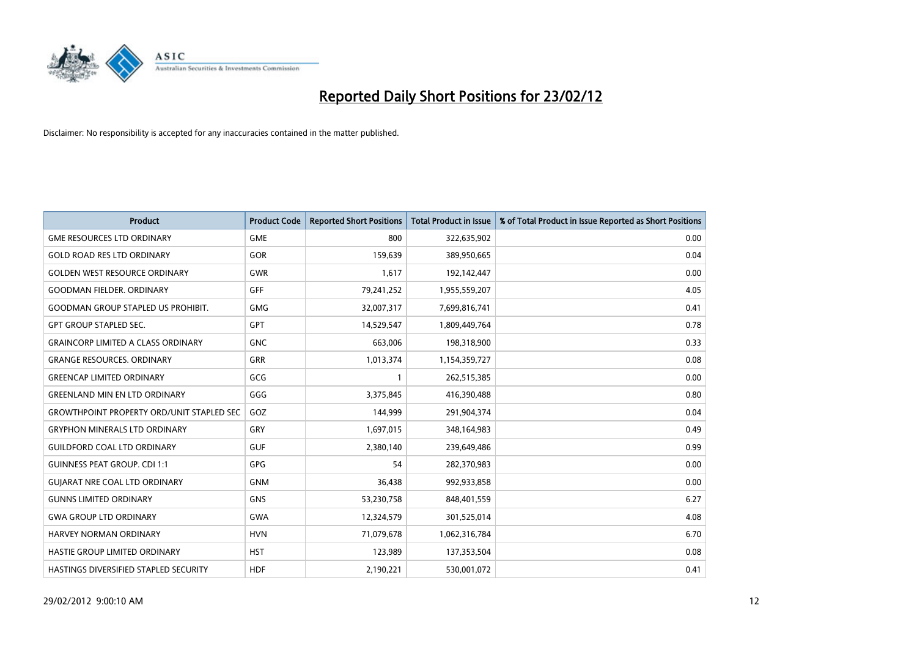

| <b>Product</b>                                   | <b>Product Code</b> | <b>Reported Short Positions</b> | <b>Total Product in Issue</b> | % of Total Product in Issue Reported as Short Positions |
|--------------------------------------------------|---------------------|---------------------------------|-------------------------------|---------------------------------------------------------|
| <b>GME RESOURCES LTD ORDINARY</b>                | <b>GME</b>          | 800                             | 322,635,902                   | 0.00                                                    |
| <b>GOLD ROAD RES LTD ORDINARY</b>                | GOR                 | 159,639                         | 389,950,665                   | 0.04                                                    |
| <b>GOLDEN WEST RESOURCE ORDINARY</b>             | <b>GWR</b>          | 1,617                           | 192,142,447                   | 0.00                                                    |
| <b>GOODMAN FIELDER. ORDINARY</b>                 | <b>GFF</b>          | 79,241,252                      | 1,955,559,207                 | 4.05                                                    |
| <b>GOODMAN GROUP STAPLED US PROHIBIT.</b>        | <b>GMG</b>          | 32,007,317                      | 7,699,816,741                 | 0.41                                                    |
| <b>GPT GROUP STAPLED SEC.</b>                    | <b>GPT</b>          | 14,529,547                      | 1,809,449,764                 | 0.78                                                    |
| <b>GRAINCORP LIMITED A CLASS ORDINARY</b>        | <b>GNC</b>          | 663,006                         | 198,318,900                   | 0.33                                                    |
| <b>GRANGE RESOURCES, ORDINARY</b>                | <b>GRR</b>          | 1,013,374                       | 1,154,359,727                 | 0.08                                                    |
| <b>GREENCAP LIMITED ORDINARY</b>                 | GCG                 | $\mathbf{1}$                    | 262,515,385                   | 0.00                                                    |
| <b>GREENLAND MIN EN LTD ORDINARY</b>             | GGG                 | 3,375,845                       | 416,390,488                   | 0.80                                                    |
| <b>GROWTHPOINT PROPERTY ORD/UNIT STAPLED SEC</b> | GOZ                 | 144,999                         | 291,904,374                   | 0.04                                                    |
| <b>GRYPHON MINERALS LTD ORDINARY</b>             | GRY                 | 1,697,015                       | 348,164,983                   | 0.49                                                    |
| <b>GUILDFORD COAL LTD ORDINARY</b>               | <b>GUF</b>          | 2,380,140                       | 239,649,486                   | 0.99                                                    |
| <b>GUINNESS PEAT GROUP. CDI 1:1</b>              | GPG                 | 54                              | 282,370,983                   | 0.00                                                    |
| <b>GUIARAT NRE COAL LTD ORDINARY</b>             | <b>GNM</b>          | 36,438                          | 992,933,858                   | 0.00                                                    |
| <b>GUNNS LIMITED ORDINARY</b>                    | <b>GNS</b>          | 53,230,758                      | 848,401,559                   | 6.27                                                    |
| <b>GWA GROUP LTD ORDINARY</b>                    | <b>GWA</b>          | 12,324,579                      | 301,525,014                   | 4.08                                                    |
| <b>HARVEY NORMAN ORDINARY</b>                    | <b>HVN</b>          | 71,079,678                      | 1,062,316,784                 | 6.70                                                    |
| HASTIE GROUP LIMITED ORDINARY                    | <b>HST</b>          | 123,989                         | 137,353,504                   | 0.08                                                    |
| <b>HASTINGS DIVERSIFIED STAPLED SECURITY</b>     | <b>HDF</b>          | 2,190,221                       | 530,001,072                   | 0.41                                                    |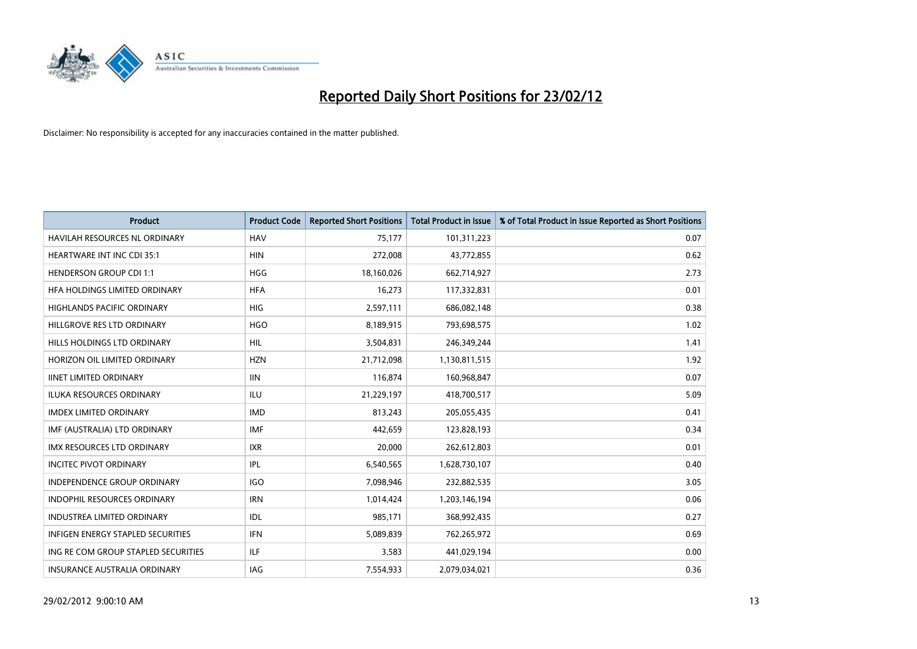

| <b>Product</b>                           | <b>Product Code</b> | <b>Reported Short Positions</b> | <b>Total Product in Issue</b> | % of Total Product in Issue Reported as Short Positions |
|------------------------------------------|---------------------|---------------------------------|-------------------------------|---------------------------------------------------------|
| <b>HAVILAH RESOURCES NL ORDINARY</b>     | <b>HAV</b>          | 75,177                          | 101,311,223                   | 0.07                                                    |
| <b>HEARTWARE INT INC CDI 35:1</b>        | <b>HIN</b>          | 272,008                         | 43,772,855                    | 0.62                                                    |
| <b>HENDERSON GROUP CDI 1:1</b>           | HGG                 | 18,160,026                      | 662,714,927                   | 2.73                                                    |
| HFA HOLDINGS LIMITED ORDINARY            | <b>HFA</b>          | 16,273                          | 117,332,831                   | 0.01                                                    |
| <b>HIGHLANDS PACIFIC ORDINARY</b>        | <b>HIG</b>          | 2,597,111                       | 686,082,148                   | 0.38                                                    |
| HILLGROVE RES LTD ORDINARY               | <b>HGO</b>          | 8,189,915                       | 793,698,575                   | 1.02                                                    |
| HILLS HOLDINGS LTD ORDINARY              | <b>HIL</b>          | 3,504,831                       | 246,349,244                   | 1.41                                                    |
| HORIZON OIL LIMITED ORDINARY             | <b>HZN</b>          | 21,712,098                      | 1,130,811,515                 | 1.92                                                    |
| <b>IINET LIMITED ORDINARY</b>            | <b>IIN</b>          | 116,874                         | 160,968,847                   | 0.07                                                    |
| <b>ILUKA RESOURCES ORDINARY</b>          | ILU                 | 21,229,197                      | 418,700,517                   | 5.09                                                    |
| <b>IMDEX LIMITED ORDINARY</b>            | <b>IMD</b>          | 813,243                         | 205,055,435                   | 0.41                                                    |
| IMF (AUSTRALIA) LTD ORDINARY             | <b>IMF</b>          | 442,659                         | 123,828,193                   | 0.34                                                    |
| <b>IMX RESOURCES LTD ORDINARY</b>        | <b>IXR</b>          | 20,000                          | 262,612,803                   | 0.01                                                    |
| <b>INCITEC PIVOT ORDINARY</b>            | IPL                 | 6,540,565                       | 1,628,730,107                 | 0.40                                                    |
| <b>INDEPENDENCE GROUP ORDINARY</b>       | IGO                 | 7,098,946                       | 232,882,535                   | 3.05                                                    |
| INDOPHIL RESOURCES ORDINARY              | <b>IRN</b>          | 1,014,424                       | 1,203,146,194                 | 0.06                                                    |
| INDUSTREA LIMITED ORDINARY               | IDL                 | 985,171                         | 368,992,435                   | 0.27                                                    |
| <b>INFIGEN ENERGY STAPLED SECURITIES</b> | <b>IFN</b>          | 5,089,839                       | 762,265,972                   | 0.69                                                    |
| ING RE COM GROUP STAPLED SECURITIES      | ILF.                | 3,583                           | 441,029,194                   | 0.00                                                    |
| INSURANCE AUSTRALIA ORDINARY             | IAG                 | 7,554,933                       | 2,079,034,021                 | 0.36                                                    |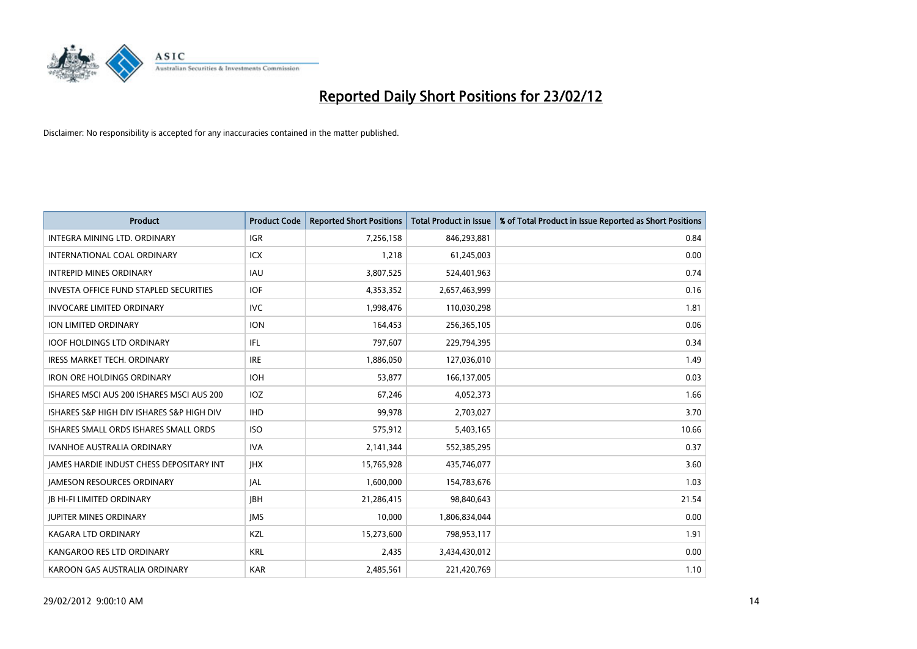

| Product                                       | <b>Product Code</b> | <b>Reported Short Positions</b> | <b>Total Product in Issue</b> | % of Total Product in Issue Reported as Short Positions |
|-----------------------------------------------|---------------------|---------------------------------|-------------------------------|---------------------------------------------------------|
| INTEGRA MINING LTD, ORDINARY                  | <b>IGR</b>          | 7,256,158                       | 846,293,881                   | 0.84                                                    |
| INTERNATIONAL COAL ORDINARY                   | ICX                 | 1,218                           | 61,245,003                    | 0.00                                                    |
| <b>INTREPID MINES ORDINARY</b>                | <b>IAU</b>          | 3,807,525                       | 524,401,963                   | 0.74                                                    |
| <b>INVESTA OFFICE FUND STAPLED SECURITIES</b> | <b>IOF</b>          | 4,353,352                       | 2,657,463,999                 | 0.16                                                    |
| <b>INVOCARE LIMITED ORDINARY</b>              | IVC                 | 1,998,476                       | 110,030,298                   | 1.81                                                    |
| ION LIMITED ORDINARY                          | <b>ION</b>          | 164,453                         | 256,365,105                   | 0.06                                                    |
| <b>IOOF HOLDINGS LTD ORDINARY</b>             | IFL                 | 797,607                         | 229,794,395                   | 0.34                                                    |
| <b>IRESS MARKET TECH. ORDINARY</b>            | <b>IRE</b>          | 1,886,050                       | 127,036,010                   | 1.49                                                    |
| <b>IRON ORE HOLDINGS ORDINARY</b>             | <b>IOH</b>          | 53.877                          | 166,137,005                   | 0.03                                                    |
| ISHARES MSCI AUS 200 ISHARES MSCI AUS 200     | IOZ                 | 67,246                          | 4,052,373                     | 1.66                                                    |
| ISHARES S&P HIGH DIV ISHARES S&P HIGH DIV     | <b>IHD</b>          | 99,978                          | 2,703,027                     | 3.70                                                    |
| ISHARES SMALL ORDS ISHARES SMALL ORDS         | <b>ISO</b>          | 575,912                         | 5,403,165                     | 10.66                                                   |
| <b>IVANHOE AUSTRALIA ORDINARY</b>             | <b>IVA</b>          | 2,141,344                       | 552,385,295                   | 0.37                                                    |
| JAMES HARDIE INDUST CHESS DEPOSITARY INT      | <b>JHX</b>          | 15,765,928                      | 435,746,077                   | 3.60                                                    |
| <b>JAMESON RESOURCES ORDINARY</b>             | <b>JAL</b>          | 1,600,000                       | 154,783,676                   | 1.03                                                    |
| <b>JB HI-FI LIMITED ORDINARY</b>              | <b>JBH</b>          | 21,286,415                      | 98,840,643                    | 21.54                                                   |
| <b>JUPITER MINES ORDINARY</b>                 | <b>IMS</b>          | 10,000                          | 1,806,834,044                 | 0.00                                                    |
| <b>KAGARA LTD ORDINARY</b>                    | KZL                 | 15,273,600                      | 798,953,117                   | 1.91                                                    |
| KANGAROO RES LTD ORDINARY                     | <b>KRL</b>          | 2,435                           | 3,434,430,012                 | 0.00                                                    |
| KAROON GAS AUSTRALIA ORDINARY                 | <b>KAR</b>          | 2,485,561                       | 221,420,769                   | 1.10                                                    |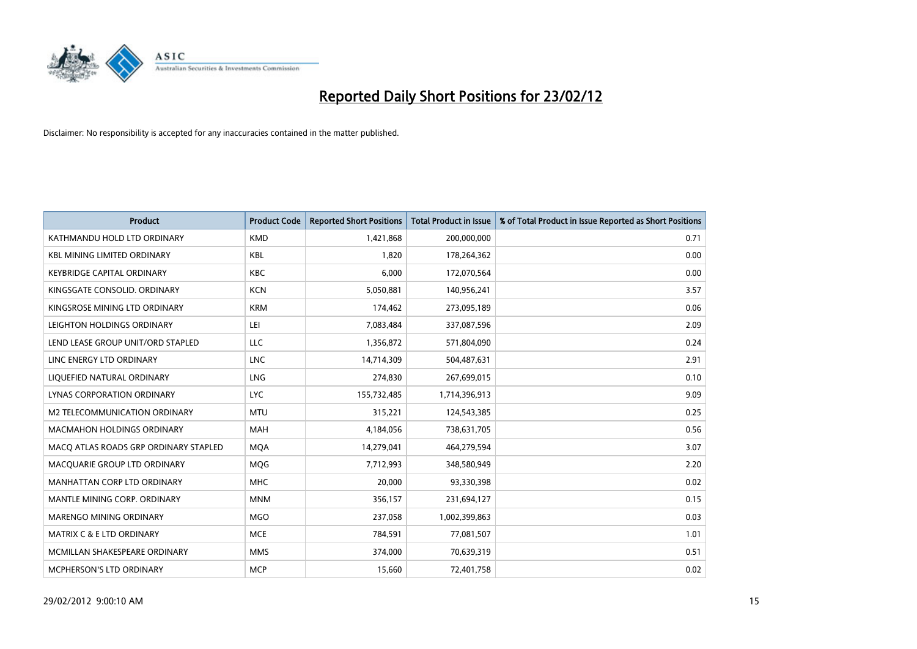

| <b>Product</b>                        | <b>Product Code</b> | <b>Reported Short Positions</b> | <b>Total Product in Issue</b> | % of Total Product in Issue Reported as Short Positions |
|---------------------------------------|---------------------|---------------------------------|-------------------------------|---------------------------------------------------------|
| KATHMANDU HOLD LTD ORDINARY           | <b>KMD</b>          | 1,421,868                       | 200,000,000                   | 0.71                                                    |
| <b>KBL MINING LIMITED ORDINARY</b>    | <b>KBL</b>          | 1,820                           | 178,264,362                   | 0.00                                                    |
| <b>KEYBRIDGE CAPITAL ORDINARY</b>     | <b>KBC</b>          | 6,000                           | 172,070,564                   | 0.00                                                    |
| KINGSGATE CONSOLID. ORDINARY          | <b>KCN</b>          | 5,050,881                       | 140,956,241                   | 3.57                                                    |
| KINGSROSE MINING LTD ORDINARY         | <b>KRM</b>          | 174,462                         | 273,095,189                   | 0.06                                                    |
| LEIGHTON HOLDINGS ORDINARY            | LEI                 | 7,083,484                       | 337,087,596                   | 2.09                                                    |
| LEND LEASE GROUP UNIT/ORD STAPLED     | <b>LLC</b>          | 1,356,872                       | 571,804,090                   | 0.24                                                    |
| LINC ENERGY LTD ORDINARY              | <b>LNC</b>          | 14,714,309                      | 504,487,631                   | 2.91                                                    |
| LIQUEFIED NATURAL ORDINARY            | <b>LNG</b>          | 274,830                         | 267,699,015                   | 0.10                                                    |
| LYNAS CORPORATION ORDINARY            | <b>LYC</b>          | 155,732,485                     | 1,714,396,913                 | 9.09                                                    |
| M2 TELECOMMUNICATION ORDINARY         | <b>MTU</b>          | 315,221                         | 124,543,385                   | 0.25                                                    |
| <b>MACMAHON HOLDINGS ORDINARY</b>     | MAH                 | 4,184,056                       | 738,631,705                   | 0.56                                                    |
| MACO ATLAS ROADS GRP ORDINARY STAPLED | <b>MOA</b>          | 14,279,041                      | 464,279,594                   | 3.07                                                    |
| MACQUARIE GROUP LTD ORDINARY          | <b>MOG</b>          | 7,712,993                       | 348,580,949                   | 2.20                                                    |
| MANHATTAN CORP LTD ORDINARY           | <b>MHC</b>          | 20,000                          | 93,330,398                    | 0.02                                                    |
| MANTLE MINING CORP. ORDINARY          | <b>MNM</b>          | 356,157                         | 231,694,127                   | 0.15                                                    |
| MARENGO MINING ORDINARY               | <b>MGO</b>          | 237,058                         | 1,002,399,863                 | 0.03                                                    |
| <b>MATRIX C &amp; E LTD ORDINARY</b>  | <b>MCE</b>          | 784,591                         | 77,081,507                    | 1.01                                                    |
| MCMILLAN SHAKESPEARE ORDINARY         | <b>MMS</b>          | 374,000                         | 70,639,319                    | 0.51                                                    |
| MCPHERSON'S LTD ORDINARY              | <b>MCP</b>          | 15,660                          | 72,401,758                    | 0.02                                                    |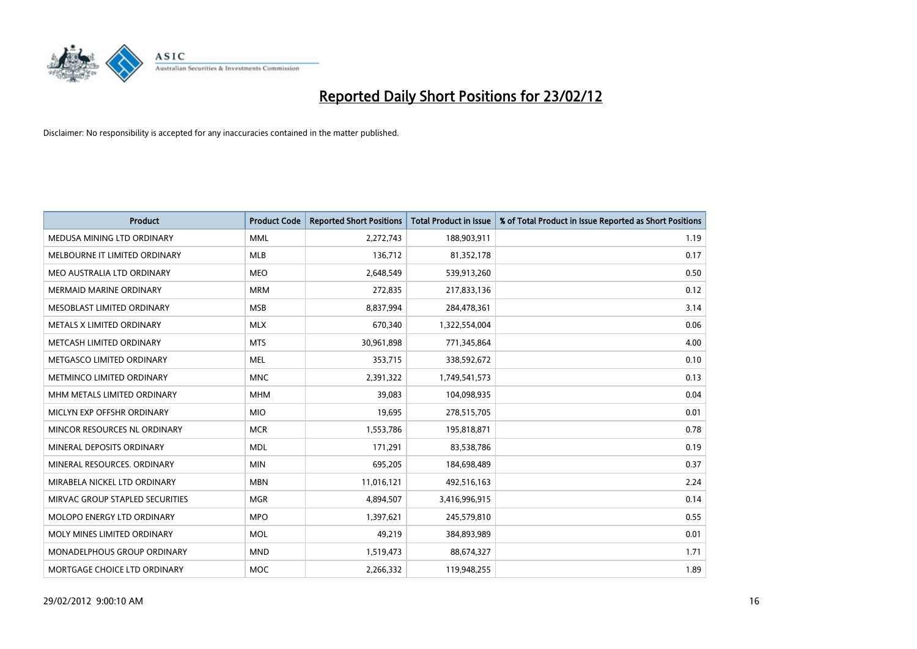

| <b>Product</b>                  | <b>Product Code</b> | <b>Reported Short Positions</b> | <b>Total Product in Issue</b> | % of Total Product in Issue Reported as Short Positions |
|---------------------------------|---------------------|---------------------------------|-------------------------------|---------------------------------------------------------|
| MEDUSA MINING LTD ORDINARY      | <b>MML</b>          | 2,272,743                       | 188,903,911                   | 1.19                                                    |
| MELBOURNE IT LIMITED ORDINARY   | MLB                 | 136,712                         | 81,352,178                    | 0.17                                                    |
| MEO AUSTRALIA LTD ORDINARY      | <b>MEO</b>          | 2,648,549                       | 539,913,260                   | 0.50                                                    |
| <b>MERMAID MARINE ORDINARY</b>  | <b>MRM</b>          | 272,835                         | 217,833,136                   | 0.12                                                    |
| MESOBLAST LIMITED ORDINARY      | <b>MSB</b>          | 8,837,994                       | 284,478,361                   | 3.14                                                    |
| METALS X LIMITED ORDINARY       | <b>MLX</b>          | 670,340                         | 1,322,554,004                 | 0.06                                                    |
| METCASH LIMITED ORDINARY        | <b>MTS</b>          | 30,961,898                      | 771,345,864                   | 4.00                                                    |
| METGASCO LIMITED ORDINARY       | <b>MEL</b>          | 353,715                         | 338,592,672                   | 0.10                                                    |
| METMINCO LIMITED ORDINARY       | <b>MNC</b>          | 2,391,322                       | 1,749,541,573                 | 0.13                                                    |
| MHM METALS LIMITED ORDINARY     | <b>MHM</b>          | 39,083                          | 104,098,935                   | 0.04                                                    |
| MICLYN EXP OFFSHR ORDINARY      | <b>MIO</b>          | 19,695                          | 278,515,705                   | 0.01                                                    |
| MINCOR RESOURCES NL ORDINARY    | <b>MCR</b>          | 1,553,786                       | 195,818,871                   | 0.78                                                    |
| MINERAL DEPOSITS ORDINARY       | <b>MDL</b>          | 171,291                         | 83,538,786                    | 0.19                                                    |
| MINERAL RESOURCES, ORDINARY     | <b>MIN</b>          | 695,205                         | 184,698,489                   | 0.37                                                    |
| MIRABELA NICKEL LTD ORDINARY    | <b>MBN</b>          | 11,016,121                      | 492,516,163                   | 2.24                                                    |
| MIRVAC GROUP STAPLED SECURITIES | <b>MGR</b>          | 4,894,507                       | 3,416,996,915                 | 0.14                                                    |
| MOLOPO ENERGY LTD ORDINARY      | <b>MPO</b>          | 1,397,621                       | 245,579,810                   | 0.55                                                    |
| MOLY MINES LIMITED ORDINARY     | <b>MOL</b>          | 49,219                          | 384,893,989                   | 0.01                                                    |
| MONADELPHOUS GROUP ORDINARY     | <b>MND</b>          | 1,519,473                       | 88,674,327                    | 1.71                                                    |
| MORTGAGE CHOICE LTD ORDINARY    | <b>MOC</b>          | 2,266,332                       | 119,948,255                   | 1.89                                                    |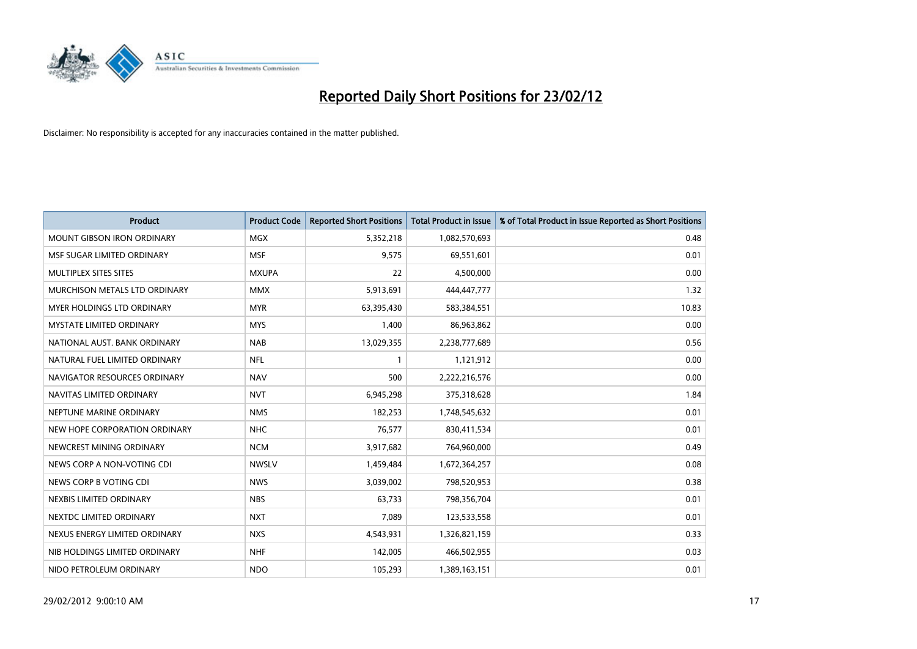

| <b>Product</b>                    | <b>Product Code</b> | <b>Reported Short Positions</b> | <b>Total Product in Issue</b> | % of Total Product in Issue Reported as Short Positions |
|-----------------------------------|---------------------|---------------------------------|-------------------------------|---------------------------------------------------------|
| <b>MOUNT GIBSON IRON ORDINARY</b> | MGX                 | 5,352,218                       | 1,082,570,693                 | 0.48                                                    |
| MSF SUGAR LIMITED ORDINARY        | <b>MSF</b>          | 9,575                           | 69,551,601                    | 0.01                                                    |
| MULTIPLEX SITES SITES             | <b>MXUPA</b>        | 22                              | 4,500,000                     | 0.00                                                    |
| MURCHISON METALS LTD ORDINARY     | <b>MMX</b>          | 5,913,691                       | 444,447,777                   | 1.32                                                    |
| MYER HOLDINGS LTD ORDINARY        | <b>MYR</b>          | 63,395,430                      | 583,384,551                   | 10.83                                                   |
| <b>MYSTATE LIMITED ORDINARY</b>   | <b>MYS</b>          | 1,400                           | 86,963,862                    | 0.00                                                    |
| NATIONAL AUST. BANK ORDINARY      | <b>NAB</b>          | 13,029,355                      | 2,238,777,689                 | 0.56                                                    |
| NATURAL FUEL LIMITED ORDINARY     | <b>NFL</b>          | $\mathbf{1}$                    | 1,121,912                     | 0.00                                                    |
| NAVIGATOR RESOURCES ORDINARY      | <b>NAV</b>          | 500                             | 2,222,216,576                 | 0.00                                                    |
| NAVITAS LIMITED ORDINARY          | <b>NVT</b>          | 6,945,298                       | 375,318,628                   | 1.84                                                    |
| NEPTUNE MARINE ORDINARY           | <b>NMS</b>          | 182,253                         | 1,748,545,632                 | 0.01                                                    |
| NEW HOPE CORPORATION ORDINARY     | <b>NHC</b>          | 76,577                          | 830,411,534                   | 0.01                                                    |
| NEWCREST MINING ORDINARY          | <b>NCM</b>          | 3,917,682                       | 764,960,000                   | 0.49                                                    |
| NEWS CORP A NON-VOTING CDI        | <b>NWSLV</b>        | 1,459,484                       | 1,672,364,257                 | 0.08                                                    |
| NEWS CORP B VOTING CDI            | <b>NWS</b>          | 3,039,002                       | 798,520,953                   | 0.38                                                    |
| NEXBIS LIMITED ORDINARY           | <b>NBS</b>          | 63,733                          | 798,356,704                   | 0.01                                                    |
| NEXTDC LIMITED ORDINARY           | <b>NXT</b>          | 7,089                           | 123,533,558                   | 0.01                                                    |
| NEXUS ENERGY LIMITED ORDINARY     | <b>NXS</b>          | 4,543,931                       | 1,326,821,159                 | 0.33                                                    |
| NIB HOLDINGS LIMITED ORDINARY     | <b>NHF</b>          | 142,005                         | 466,502,955                   | 0.03                                                    |
| NIDO PETROLEUM ORDINARY           | <b>NDO</b>          | 105,293                         | 1,389,163,151                 | 0.01                                                    |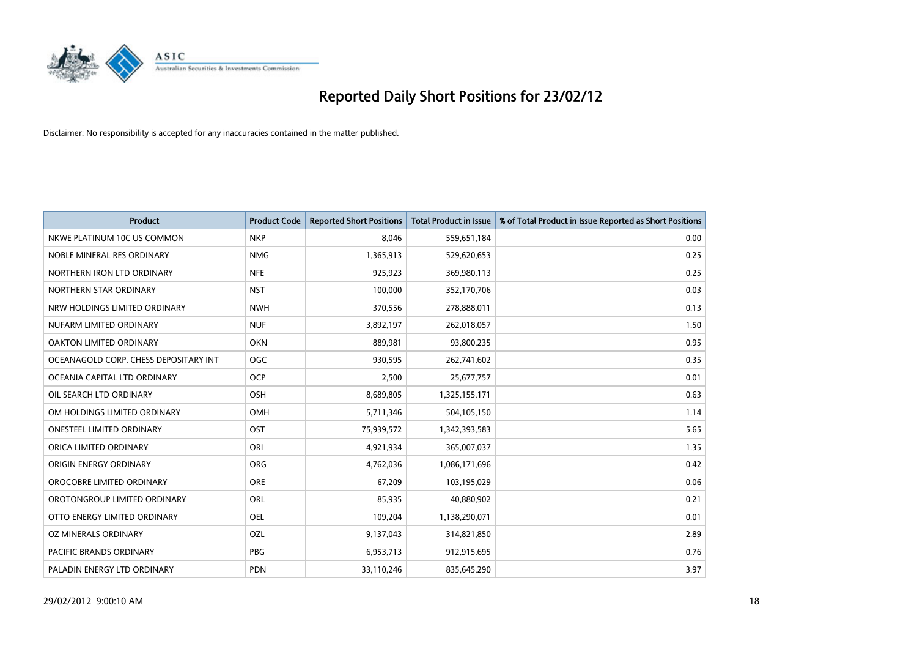

| <b>Product</b>                        | <b>Product Code</b> | <b>Reported Short Positions</b> | Total Product in Issue | % of Total Product in Issue Reported as Short Positions |
|---------------------------------------|---------------------|---------------------------------|------------------------|---------------------------------------------------------|
| NKWE PLATINUM 10C US COMMON           | <b>NKP</b>          | 8,046                           | 559,651,184            | 0.00                                                    |
| NOBLE MINERAL RES ORDINARY            | <b>NMG</b>          | 1,365,913                       | 529,620,653            | 0.25                                                    |
| NORTHERN IRON LTD ORDINARY            | <b>NFE</b>          | 925,923                         | 369,980,113            | 0.25                                                    |
| NORTHERN STAR ORDINARY                | <b>NST</b>          | 100,000                         | 352,170,706            | 0.03                                                    |
| NRW HOLDINGS LIMITED ORDINARY         | <b>NWH</b>          | 370,556                         | 278,888,011            | 0.13                                                    |
| NUFARM LIMITED ORDINARY               | <b>NUF</b>          | 3,892,197                       | 262,018,057            | 1.50                                                    |
| OAKTON LIMITED ORDINARY               | <b>OKN</b>          | 889,981                         | 93,800,235             | 0.95                                                    |
| OCEANAGOLD CORP. CHESS DEPOSITARY INT | <b>OGC</b>          | 930,595                         | 262,741,602            | 0.35                                                    |
| OCEANIA CAPITAL LTD ORDINARY          | <b>OCP</b>          | 2,500                           | 25,677,757             | 0.01                                                    |
| OIL SEARCH LTD ORDINARY               | OSH                 | 8,689,805                       | 1,325,155,171          | 0.63                                                    |
| OM HOLDINGS LIMITED ORDINARY          | <b>OMH</b>          | 5,711,346                       | 504,105,150            | 1.14                                                    |
| <b>ONESTEEL LIMITED ORDINARY</b>      | OST                 | 75,939,572                      | 1,342,393,583          | 5.65                                                    |
| ORICA LIMITED ORDINARY                | ORI                 | 4,921,934                       | 365,007,037            | 1.35                                                    |
| ORIGIN ENERGY ORDINARY                | <b>ORG</b>          | 4,762,036                       | 1,086,171,696          | 0.42                                                    |
| OROCOBRE LIMITED ORDINARY             | <b>ORE</b>          | 67,209                          | 103,195,029            | 0.06                                                    |
| OROTONGROUP LIMITED ORDINARY          | ORL                 | 85,935                          | 40,880,902             | 0.21                                                    |
| OTTO ENERGY LIMITED ORDINARY          | OEL                 | 109,204                         | 1,138,290,071          | 0.01                                                    |
| OZ MINERALS ORDINARY                  | OZL                 | 9,137,043                       | 314,821,850            | 2.89                                                    |
| <b>PACIFIC BRANDS ORDINARY</b>        | <b>PBG</b>          | 6,953,713                       | 912,915,695            | 0.76                                                    |
| PALADIN ENERGY LTD ORDINARY           | <b>PDN</b>          | 33,110,246                      | 835,645,290            | 3.97                                                    |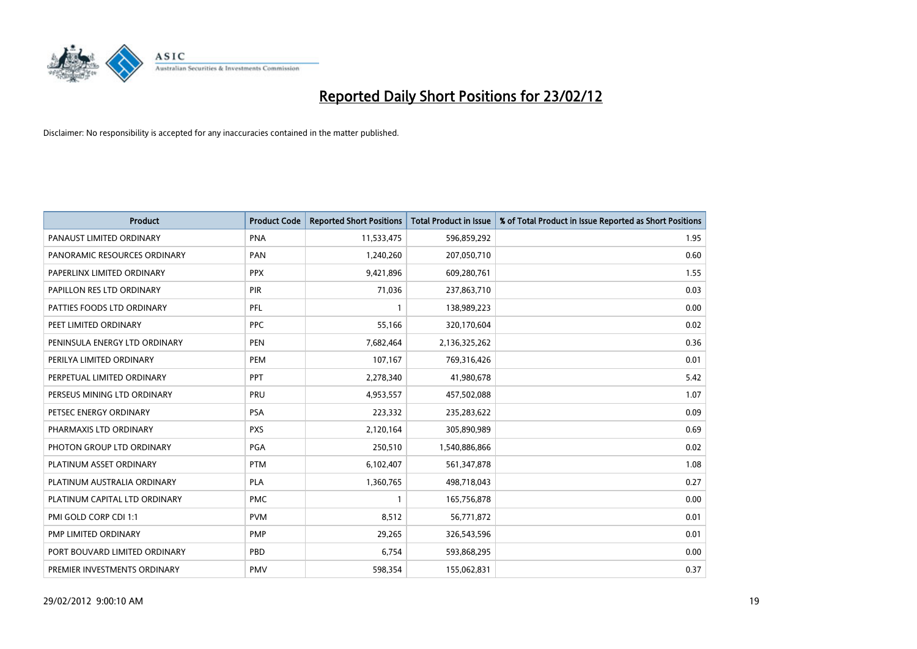

| <b>Product</b>                | <b>Product Code</b> | <b>Reported Short Positions</b> | <b>Total Product in Issue</b> | % of Total Product in Issue Reported as Short Positions |
|-------------------------------|---------------------|---------------------------------|-------------------------------|---------------------------------------------------------|
| PANAUST LIMITED ORDINARY      | <b>PNA</b>          | 11,533,475                      | 596,859,292                   | 1.95                                                    |
| PANORAMIC RESOURCES ORDINARY  | PAN                 | 1,240,260                       | 207,050,710                   | 0.60                                                    |
| PAPERLINX LIMITED ORDINARY    | <b>PPX</b>          | 9,421,896                       | 609,280,761                   | 1.55                                                    |
| PAPILLON RES LTD ORDINARY     | PIR                 | 71,036                          | 237,863,710                   | 0.03                                                    |
| PATTIES FOODS LTD ORDINARY    | PFL                 | $\mathbf{1}$                    | 138,989,223                   | 0.00                                                    |
| PEET LIMITED ORDINARY         | <b>PPC</b>          | 55,166                          | 320,170,604                   | 0.02                                                    |
| PENINSULA ENERGY LTD ORDINARY | <b>PEN</b>          | 7,682,464                       | 2,136,325,262                 | 0.36                                                    |
| PERILYA LIMITED ORDINARY      | PEM                 | 107,167                         | 769,316,426                   | 0.01                                                    |
| PERPETUAL LIMITED ORDINARY    | <b>PPT</b>          | 2,278,340                       | 41,980,678                    | 5.42                                                    |
| PERSEUS MINING LTD ORDINARY   | PRU                 | 4,953,557                       | 457,502,088                   | 1.07                                                    |
| PETSEC ENERGY ORDINARY        | <b>PSA</b>          | 223,332                         | 235,283,622                   | 0.09                                                    |
| PHARMAXIS LTD ORDINARY        | <b>PXS</b>          | 2,120,164                       | 305,890,989                   | 0.69                                                    |
| PHOTON GROUP LTD ORDINARY     | PGA                 | 250,510                         | 1,540,886,866                 | 0.02                                                    |
| PLATINUM ASSET ORDINARY       | <b>PTM</b>          | 6,102,407                       | 561,347,878                   | 1.08                                                    |
| PLATINUM AUSTRALIA ORDINARY   | <b>PLA</b>          | 1,360,765                       | 498,718,043                   | 0.27                                                    |
| PLATINUM CAPITAL LTD ORDINARY | <b>PMC</b>          |                                 | 165,756,878                   | 0.00                                                    |
| PMI GOLD CORP CDI 1:1         | <b>PVM</b>          | 8,512                           | 56,771,872                    | 0.01                                                    |
| PMP LIMITED ORDINARY          | <b>PMP</b>          | 29,265                          | 326,543,596                   | 0.01                                                    |
| PORT BOUVARD LIMITED ORDINARY | PBD                 | 6,754                           | 593,868,295                   | 0.00                                                    |
| PREMIER INVESTMENTS ORDINARY  | <b>PMV</b>          | 598,354                         | 155,062,831                   | 0.37                                                    |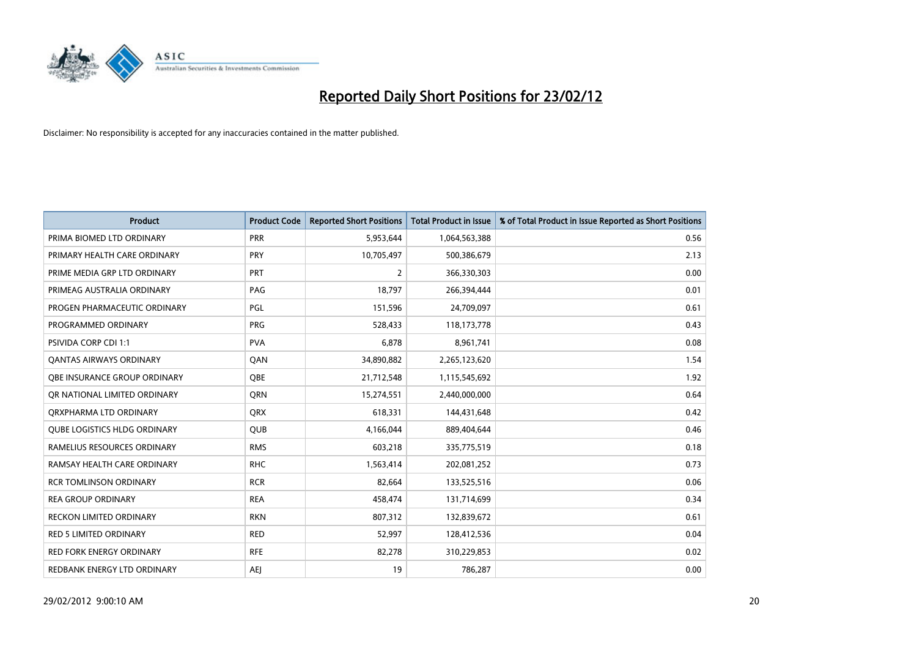

| <b>Product</b>                      | <b>Product Code</b> | <b>Reported Short Positions</b> | <b>Total Product in Issue</b> | % of Total Product in Issue Reported as Short Positions |
|-------------------------------------|---------------------|---------------------------------|-------------------------------|---------------------------------------------------------|
| PRIMA BIOMED LTD ORDINARY           | <b>PRR</b>          | 5,953,644                       | 1,064,563,388                 | 0.56                                                    |
| PRIMARY HEALTH CARE ORDINARY        | <b>PRY</b>          | 10,705,497                      | 500,386,679                   | 2.13                                                    |
| PRIME MEDIA GRP LTD ORDINARY        | <b>PRT</b>          | $\overline{2}$                  | 366,330,303                   | 0.00                                                    |
| PRIMEAG AUSTRALIA ORDINARY          | PAG                 | 18,797                          | 266,394,444                   | 0.01                                                    |
| PROGEN PHARMACEUTIC ORDINARY        | <b>PGL</b>          | 151,596                         | 24,709,097                    | 0.61                                                    |
| PROGRAMMED ORDINARY                 | <b>PRG</b>          | 528,433                         | 118,173,778                   | 0.43                                                    |
| <b>PSIVIDA CORP CDI 1:1</b>         | <b>PVA</b>          | 6,878                           | 8,961,741                     | 0.08                                                    |
| <b>QANTAS AIRWAYS ORDINARY</b>      | QAN                 | 34,890,882                      | 2,265,123,620                 | 1.54                                                    |
| OBE INSURANCE GROUP ORDINARY        | OBE                 | 21,712,548                      | 1,115,545,692                 | 1.92                                                    |
| OR NATIONAL LIMITED ORDINARY        | <b>ORN</b>          | 15,274,551                      | 2,440,000,000                 | 0.64                                                    |
| ORXPHARMA LTD ORDINARY              | <b>QRX</b>          | 618,331                         | 144,431,648                   | 0.42                                                    |
| <b>QUBE LOGISTICS HLDG ORDINARY</b> | QUB                 | 4,166,044                       | 889,404,644                   | 0.46                                                    |
| RAMELIUS RESOURCES ORDINARY         | <b>RMS</b>          | 603,218                         | 335,775,519                   | 0.18                                                    |
| RAMSAY HEALTH CARE ORDINARY         | <b>RHC</b>          | 1,563,414                       | 202,081,252                   | 0.73                                                    |
| <b>RCR TOMLINSON ORDINARY</b>       | <b>RCR</b>          | 82,664                          | 133,525,516                   | 0.06                                                    |
| <b>REA GROUP ORDINARY</b>           | <b>REA</b>          | 458,474                         | 131,714,699                   | 0.34                                                    |
| RECKON LIMITED ORDINARY             | <b>RKN</b>          | 807,312                         | 132,839,672                   | 0.61                                                    |
| RED 5 LIMITED ORDINARY              | <b>RED</b>          | 52,997                          | 128,412,536                   | 0.04                                                    |
| <b>RED FORK ENERGY ORDINARY</b>     | <b>RFE</b>          | 82,278                          | 310,229,853                   | 0.02                                                    |
| REDBANK ENERGY LTD ORDINARY         | <b>AEJ</b>          | 19                              | 786,287                       | 0.00                                                    |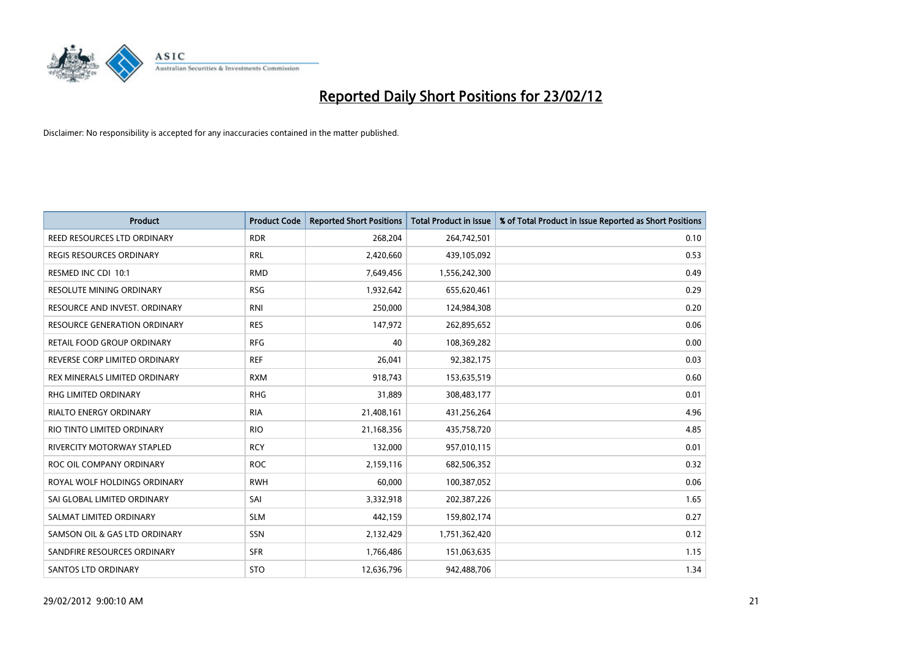

| <b>Product</b>                      | <b>Product Code</b> | <b>Reported Short Positions</b> | <b>Total Product in Issue</b> | % of Total Product in Issue Reported as Short Positions |
|-------------------------------------|---------------------|---------------------------------|-------------------------------|---------------------------------------------------------|
| <b>REED RESOURCES LTD ORDINARY</b>  | <b>RDR</b>          | 268,204                         | 264,742,501                   | 0.10                                                    |
| <b>REGIS RESOURCES ORDINARY</b>     | <b>RRL</b>          | 2,420,660                       | 439,105,092                   | 0.53                                                    |
| RESMED INC CDI 10:1                 | <b>RMD</b>          | 7,649,456                       | 1,556,242,300                 | 0.49                                                    |
| <b>RESOLUTE MINING ORDINARY</b>     | <b>RSG</b>          | 1,932,642                       | 655,620,461                   | 0.29                                                    |
| RESOURCE AND INVEST. ORDINARY       | <b>RNI</b>          | 250,000                         | 124,984,308                   | 0.20                                                    |
| <b>RESOURCE GENERATION ORDINARY</b> | <b>RES</b>          | 147,972                         | 262,895,652                   | 0.06                                                    |
| RETAIL FOOD GROUP ORDINARY          | <b>RFG</b>          | 40                              | 108,369,282                   | 0.00                                                    |
| REVERSE CORP LIMITED ORDINARY       | <b>REF</b>          | 26,041                          | 92,382,175                    | 0.03                                                    |
| REX MINERALS LIMITED ORDINARY       | <b>RXM</b>          | 918,743                         | 153,635,519                   | 0.60                                                    |
| <b>RHG LIMITED ORDINARY</b>         | <b>RHG</b>          | 31,889                          | 308,483,177                   | 0.01                                                    |
| RIALTO ENERGY ORDINARY              | <b>RIA</b>          | 21,408,161                      | 431,256,264                   | 4.96                                                    |
| RIO TINTO LIMITED ORDINARY          | <b>RIO</b>          | 21,168,356                      | 435,758,720                   | 4.85                                                    |
| <b>RIVERCITY MOTORWAY STAPLED</b>   | <b>RCY</b>          | 132,000                         | 957,010,115                   | 0.01                                                    |
| ROC OIL COMPANY ORDINARY            | <b>ROC</b>          | 2,159,116                       | 682,506,352                   | 0.32                                                    |
| ROYAL WOLF HOLDINGS ORDINARY        | <b>RWH</b>          | 60,000                          | 100,387,052                   | 0.06                                                    |
| SAI GLOBAL LIMITED ORDINARY         | SAI                 | 3,332,918                       | 202,387,226                   | 1.65                                                    |
| SALMAT LIMITED ORDINARY             | <b>SLM</b>          | 442,159                         | 159,802,174                   | 0.27                                                    |
| SAMSON OIL & GAS LTD ORDINARY       | SSN                 | 2,132,429                       | 1,751,362,420                 | 0.12                                                    |
| SANDFIRE RESOURCES ORDINARY         | <b>SFR</b>          | 1,766,486                       | 151,063,635                   | 1.15                                                    |
| SANTOS LTD ORDINARY                 | <b>STO</b>          | 12,636,796                      | 942,488,706                   | 1.34                                                    |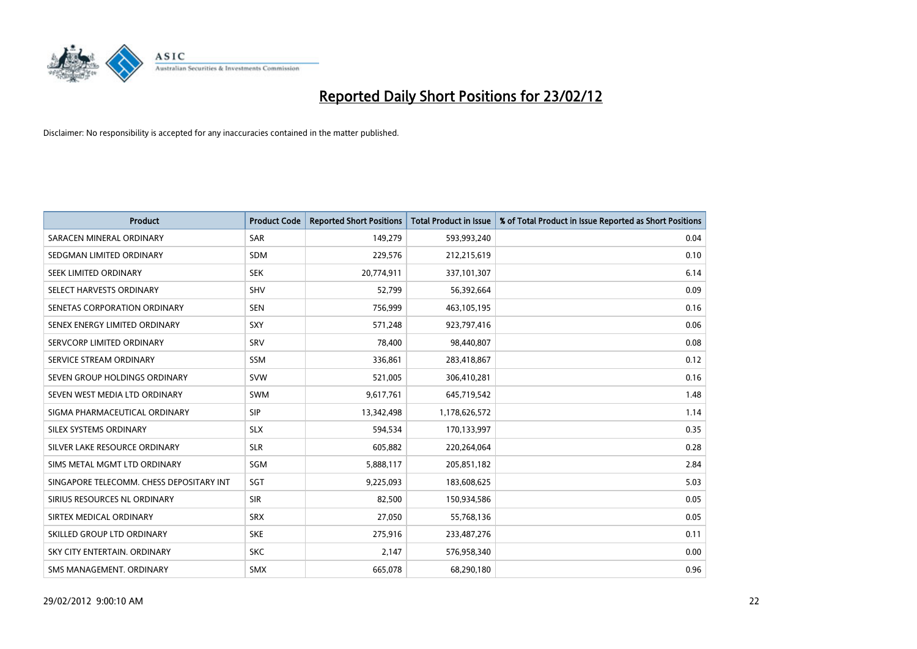

| <b>Product</b>                           | <b>Product Code</b> | <b>Reported Short Positions</b> | <b>Total Product in Issue</b> | % of Total Product in Issue Reported as Short Positions |
|------------------------------------------|---------------------|---------------------------------|-------------------------------|---------------------------------------------------------|
| SARACEN MINERAL ORDINARY                 | <b>SAR</b>          | 149,279                         | 593,993,240                   | 0.04                                                    |
| SEDGMAN LIMITED ORDINARY                 | <b>SDM</b>          | 229,576                         | 212,215,619                   | 0.10                                                    |
| SEEK LIMITED ORDINARY                    | <b>SEK</b>          | 20,774,911                      | 337,101,307                   | 6.14                                                    |
| SELECT HARVESTS ORDINARY                 | <b>SHV</b>          | 52,799                          | 56,392,664                    | 0.09                                                    |
| SENETAS CORPORATION ORDINARY             | <b>SEN</b>          | 756,999                         | 463,105,195                   | 0.16                                                    |
| SENEX ENERGY LIMITED ORDINARY            | SXY                 | 571,248                         | 923,797,416                   | 0.06                                                    |
| SERVCORP LIMITED ORDINARY                | SRV                 | 78,400                          | 98,440,807                    | 0.08                                                    |
| SERVICE STREAM ORDINARY                  | SSM                 | 336,861                         | 283,418,867                   | 0.12                                                    |
| SEVEN GROUP HOLDINGS ORDINARY            | <b>SVW</b>          | 521,005                         | 306,410,281                   | 0.16                                                    |
| SEVEN WEST MEDIA LTD ORDINARY            | <b>SWM</b>          | 9,617,761                       | 645,719,542                   | 1.48                                                    |
| SIGMA PHARMACEUTICAL ORDINARY            | <b>SIP</b>          | 13,342,498                      | 1,178,626,572                 | 1.14                                                    |
| SILEX SYSTEMS ORDINARY                   | <b>SLX</b>          | 594,534                         | 170,133,997                   | 0.35                                                    |
| SILVER LAKE RESOURCE ORDINARY            | <b>SLR</b>          | 605,882                         | 220,264,064                   | 0.28                                                    |
| SIMS METAL MGMT LTD ORDINARY             | SGM                 | 5,888,117                       | 205,851,182                   | 2.84                                                    |
| SINGAPORE TELECOMM. CHESS DEPOSITARY INT | SGT                 | 9,225,093                       | 183,608,625                   | 5.03                                                    |
| SIRIUS RESOURCES NL ORDINARY             | <b>SIR</b>          | 82,500                          | 150,934,586                   | 0.05                                                    |
| SIRTEX MEDICAL ORDINARY                  | <b>SRX</b>          | 27,050                          | 55,768,136                    | 0.05                                                    |
| SKILLED GROUP LTD ORDINARY               | <b>SKE</b>          | 275,916                         | 233,487,276                   | 0.11                                                    |
| SKY CITY ENTERTAIN, ORDINARY             | <b>SKC</b>          | 2,147                           | 576,958,340                   | 0.00                                                    |
| SMS MANAGEMENT. ORDINARY                 | <b>SMX</b>          | 665,078                         | 68,290,180                    | 0.96                                                    |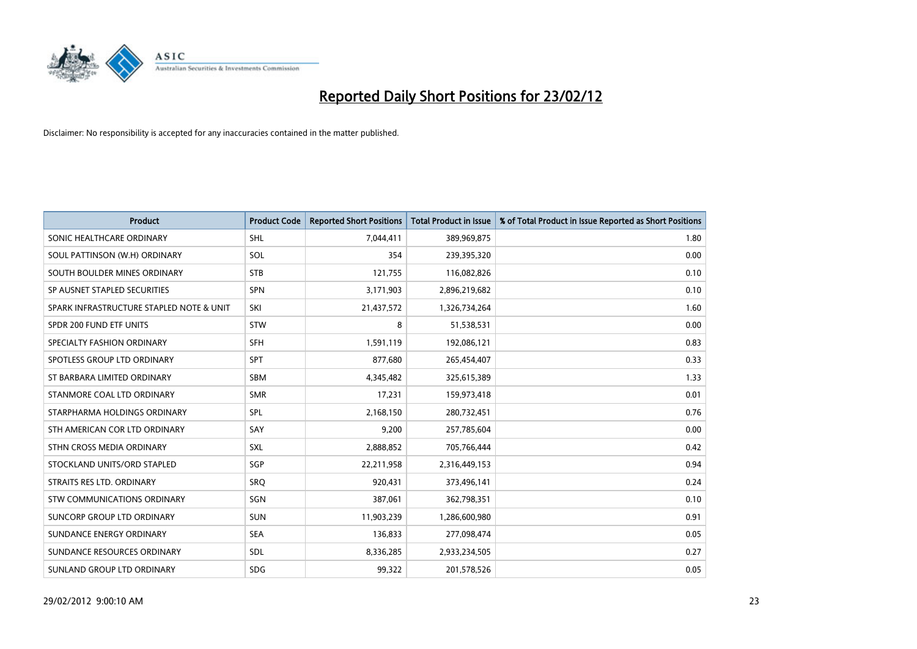

| <b>Product</b>                           | <b>Product Code</b> | <b>Reported Short Positions</b> | <b>Total Product in Issue</b> | % of Total Product in Issue Reported as Short Positions |
|------------------------------------------|---------------------|---------------------------------|-------------------------------|---------------------------------------------------------|
| SONIC HEALTHCARE ORDINARY                | <b>SHL</b>          | 7,044,411                       | 389,969,875                   | 1.80                                                    |
| SOUL PATTINSON (W.H) ORDINARY            | SOL                 | 354                             | 239,395,320                   | 0.00                                                    |
| SOUTH BOULDER MINES ORDINARY             | <b>STB</b>          | 121,755                         | 116,082,826                   | 0.10                                                    |
| SP AUSNET STAPLED SECURITIES             | <b>SPN</b>          | 3,171,903                       | 2,896,219,682                 | 0.10                                                    |
| SPARK INFRASTRUCTURE STAPLED NOTE & UNIT | SKI                 | 21,437,572                      | 1,326,734,264                 | 1.60                                                    |
| SPDR 200 FUND ETF UNITS                  | <b>STW</b>          | 8                               | 51,538,531                    | 0.00                                                    |
| SPECIALTY FASHION ORDINARY               | <b>SFH</b>          | 1,591,119                       | 192,086,121                   | 0.83                                                    |
| SPOTLESS GROUP LTD ORDINARY              | <b>SPT</b>          | 877,680                         | 265,454,407                   | 0.33                                                    |
| ST BARBARA LIMITED ORDINARY              | <b>SBM</b>          | 4,345,482                       | 325,615,389                   | 1.33                                                    |
| STANMORE COAL LTD ORDINARY               | <b>SMR</b>          | 17,231                          | 159,973,418                   | 0.01                                                    |
| STARPHARMA HOLDINGS ORDINARY             | SPL                 | 2,168,150                       | 280,732,451                   | 0.76                                                    |
| STH AMERICAN COR LTD ORDINARY            | SAY                 | 9,200                           | 257,785,604                   | 0.00                                                    |
| STHN CROSS MEDIA ORDINARY                | <b>SXL</b>          | 2,888,852                       | 705,766,444                   | 0.42                                                    |
| STOCKLAND UNITS/ORD STAPLED              | SGP                 | 22,211,958                      | 2,316,449,153                 | 0.94                                                    |
| STRAITS RES LTD. ORDINARY                | SRO                 | 920,431                         | 373,496,141                   | 0.24                                                    |
| <b>STW COMMUNICATIONS ORDINARY</b>       | SGN                 | 387,061                         | 362,798,351                   | 0.10                                                    |
| SUNCORP GROUP LTD ORDINARY               | <b>SUN</b>          | 11,903,239                      | 1,286,600,980                 | 0.91                                                    |
| SUNDANCE ENERGY ORDINARY                 | <b>SEA</b>          | 136,833                         | 277,098,474                   | 0.05                                                    |
| SUNDANCE RESOURCES ORDINARY              | <b>SDL</b>          | 8,336,285                       | 2,933,234,505                 | 0.27                                                    |
| SUNLAND GROUP LTD ORDINARY               | <b>SDG</b>          | 99,322                          | 201,578,526                   | 0.05                                                    |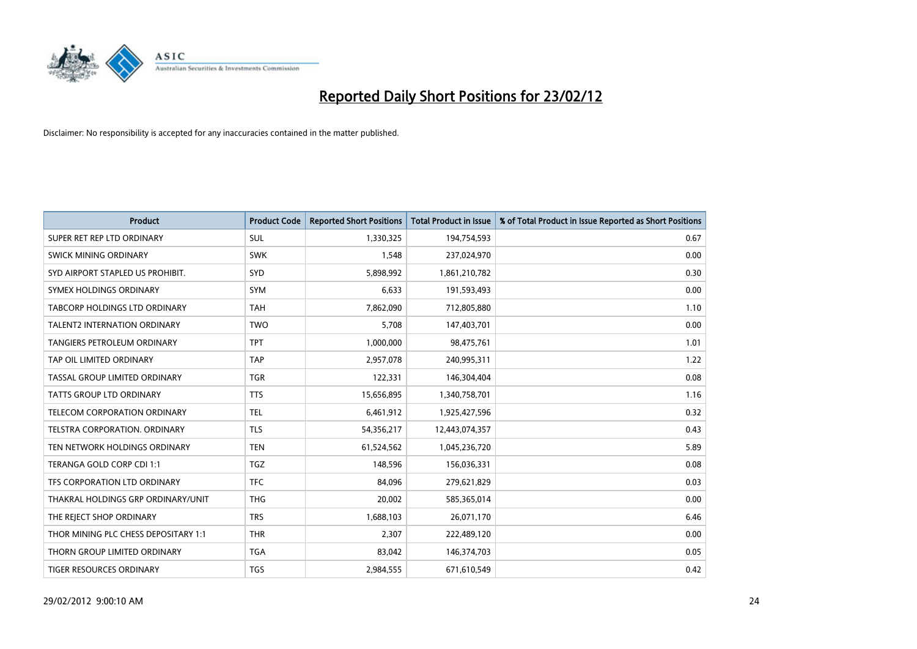

| <b>Product</b>                       | <b>Product Code</b> | <b>Reported Short Positions</b> | <b>Total Product in Issue</b> | % of Total Product in Issue Reported as Short Positions |
|--------------------------------------|---------------------|---------------------------------|-------------------------------|---------------------------------------------------------|
| SUPER RET REP LTD ORDINARY           | <b>SUL</b>          | 1,330,325                       | 194,754,593                   | 0.67                                                    |
| SWICK MINING ORDINARY                | <b>SWK</b>          | 1,548                           | 237,024,970                   | 0.00                                                    |
| SYD AIRPORT STAPLED US PROHIBIT.     | <b>SYD</b>          | 5,898,992                       | 1,861,210,782                 | 0.30                                                    |
| SYMEX HOLDINGS ORDINARY              | <b>SYM</b>          | 6,633                           | 191,593,493                   | 0.00                                                    |
| TABCORP HOLDINGS LTD ORDINARY        | <b>TAH</b>          | 7,862,090                       | 712,805,880                   | 1.10                                                    |
| <b>TALENT2 INTERNATION ORDINARY</b>  | <b>TWO</b>          | 5,708                           | 147,403,701                   | 0.00                                                    |
| <b>TANGIERS PETROLEUM ORDINARY</b>   | <b>TPT</b>          | 1,000,000                       | 98,475,761                    | 1.01                                                    |
| TAP OIL LIMITED ORDINARY             | <b>TAP</b>          | 2,957,078                       | 240,995,311                   | 1.22                                                    |
| TASSAL GROUP LIMITED ORDINARY        | <b>TGR</b>          | 122,331                         | 146,304,404                   | 0.08                                                    |
| <b>TATTS GROUP LTD ORDINARY</b>      | <b>TTS</b>          | 15,656,895                      | 1,340,758,701                 | 1.16                                                    |
| TELECOM CORPORATION ORDINARY         | <b>TEL</b>          | 6,461,912                       | 1,925,427,596                 | 0.32                                                    |
| <b>TELSTRA CORPORATION, ORDINARY</b> | <b>TLS</b>          | 54,356,217                      | 12,443,074,357                | 0.43                                                    |
| TEN NETWORK HOLDINGS ORDINARY        | <b>TEN</b>          | 61,524,562                      | 1,045,236,720                 | 5.89                                                    |
| TERANGA GOLD CORP CDI 1:1            | <b>TGZ</b>          | 148,596                         | 156,036,331                   | 0.08                                                    |
| TFS CORPORATION LTD ORDINARY         | <b>TFC</b>          | 84,096                          | 279,621,829                   | 0.03                                                    |
| THAKRAL HOLDINGS GRP ORDINARY/UNIT   | <b>THG</b>          | 20,002                          | 585,365,014                   | 0.00                                                    |
| THE REJECT SHOP ORDINARY             | <b>TRS</b>          | 1,688,103                       | 26,071,170                    | 6.46                                                    |
| THOR MINING PLC CHESS DEPOSITARY 1:1 | <b>THR</b>          | 2,307                           | 222,489,120                   | 0.00                                                    |
| THORN GROUP LIMITED ORDINARY         | <b>TGA</b>          | 83,042                          | 146,374,703                   | 0.05                                                    |
| TIGER RESOURCES ORDINARY             | <b>TGS</b>          | 2,984,555                       | 671,610,549                   | 0.42                                                    |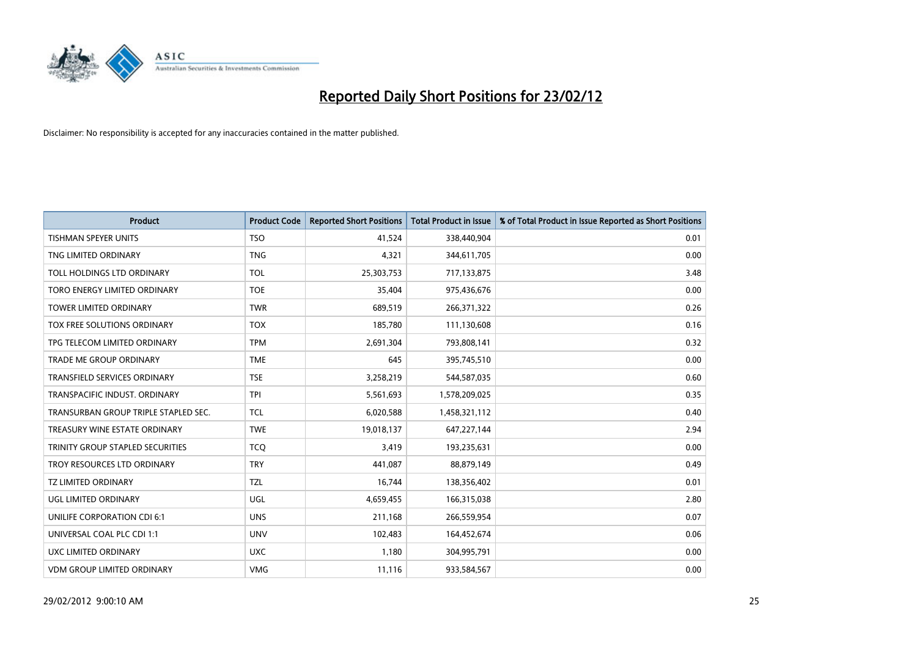

| <b>Product</b>                       | <b>Product Code</b> | <b>Reported Short Positions</b> | <b>Total Product in Issue</b> | % of Total Product in Issue Reported as Short Positions |
|--------------------------------------|---------------------|---------------------------------|-------------------------------|---------------------------------------------------------|
| <b>TISHMAN SPEYER UNITS</b>          | <b>TSO</b>          | 41,524                          | 338,440,904                   | 0.01                                                    |
| TNG LIMITED ORDINARY                 | <b>TNG</b>          | 4,321                           | 344,611,705                   | 0.00                                                    |
| TOLL HOLDINGS LTD ORDINARY           | <b>TOL</b>          | 25,303,753                      | 717,133,875                   | 3.48                                                    |
| TORO ENERGY LIMITED ORDINARY         | <b>TOE</b>          | 35,404                          | 975,436,676                   | 0.00                                                    |
| <b>TOWER LIMITED ORDINARY</b>        | <b>TWR</b>          | 689,519                         | 266,371,322                   | 0.26                                                    |
| TOX FREE SOLUTIONS ORDINARY          | <b>TOX</b>          | 185,780                         | 111,130,608                   | 0.16                                                    |
| TPG TELECOM LIMITED ORDINARY         | <b>TPM</b>          | 2,691,304                       | 793,808,141                   | 0.32                                                    |
| TRADE ME GROUP ORDINARY              | <b>TME</b>          | 645                             | 395,745,510                   | 0.00                                                    |
| <b>TRANSFIELD SERVICES ORDINARY</b>  | <b>TSE</b>          | 3,258,219                       | 544,587,035                   | 0.60                                                    |
| TRANSPACIFIC INDUST, ORDINARY        | <b>TPI</b>          | 5,561,693                       | 1,578,209,025                 | 0.35                                                    |
| TRANSURBAN GROUP TRIPLE STAPLED SEC. | TCL                 | 6,020,588                       | 1,458,321,112                 | 0.40                                                    |
| TREASURY WINE ESTATE ORDINARY        | <b>TWE</b>          | 19,018,137                      | 647,227,144                   | 2.94                                                    |
| TRINITY GROUP STAPLED SECURITIES     | <b>TCQ</b>          | 3,419                           | 193,235,631                   | 0.00                                                    |
| TROY RESOURCES LTD ORDINARY          | <b>TRY</b>          | 441,087                         | 88,879,149                    | 0.49                                                    |
| <b>TZ LIMITED ORDINARY</b>           | <b>TZL</b>          | 16,744                          | 138,356,402                   | 0.01                                                    |
| UGL LIMITED ORDINARY                 | UGL                 | 4,659,455                       | 166,315,038                   | 2.80                                                    |
| UNILIFE CORPORATION CDI 6:1          | <b>UNS</b>          | 211,168                         | 266,559,954                   | 0.07                                                    |
| UNIVERSAL COAL PLC CDI 1:1           | <b>UNV</b>          | 102,483                         | 164,452,674                   | 0.06                                                    |
| <b>UXC LIMITED ORDINARY</b>          | <b>UXC</b>          | 1,180                           | 304,995,791                   | 0.00                                                    |
| <b>VDM GROUP LIMITED ORDINARY</b>    | <b>VMG</b>          | 11,116                          | 933,584,567                   | 0.00                                                    |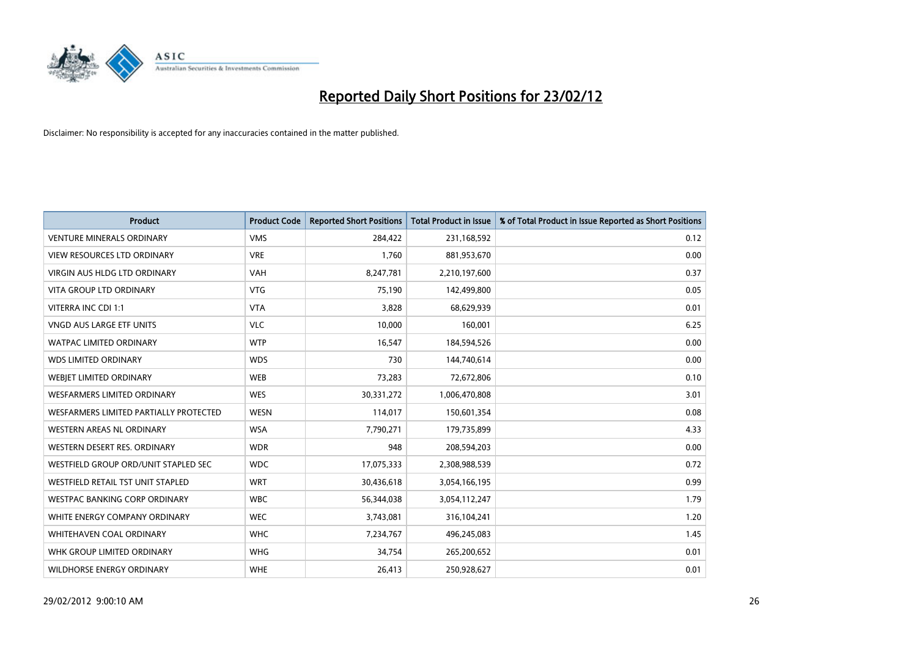

| <b>Product</b>                         | <b>Product Code</b> | <b>Reported Short Positions</b> | <b>Total Product in Issue</b> | % of Total Product in Issue Reported as Short Positions |
|----------------------------------------|---------------------|---------------------------------|-------------------------------|---------------------------------------------------------|
| <b>VENTURE MINERALS ORDINARY</b>       | <b>VMS</b>          | 284,422                         | 231,168,592                   | 0.12                                                    |
| <b>VIEW RESOURCES LTD ORDINARY</b>     | <b>VRE</b>          | 1,760                           | 881,953,670                   | 0.00                                                    |
| <b>VIRGIN AUS HLDG LTD ORDINARY</b>    | <b>VAH</b>          | 8,247,781                       | 2,210,197,600                 | 0.37                                                    |
| <b>VITA GROUP LTD ORDINARY</b>         | <b>VTG</b>          | 75,190                          | 142,499,800                   | 0.05                                                    |
| VITERRA INC CDI 1:1                    | <b>VTA</b>          | 3,828                           | 68,629,939                    | 0.01                                                    |
| <b>VNGD AUS LARGE ETF UNITS</b>        | <b>VLC</b>          | 10,000                          | 160,001                       | 6.25                                                    |
| <b>WATPAC LIMITED ORDINARY</b>         | <b>WTP</b>          | 16,547                          | 184,594,526                   | 0.00                                                    |
| <b>WDS LIMITED ORDINARY</b>            | <b>WDS</b>          | 730                             | 144,740,614                   | 0.00                                                    |
| WEBIET LIMITED ORDINARY                | <b>WEB</b>          | 73,283                          | 72,672,806                    | 0.10                                                    |
| WESFARMERS LIMITED ORDINARY            | <b>WES</b>          | 30,331,272                      | 1,006,470,808                 | 3.01                                                    |
| WESFARMERS LIMITED PARTIALLY PROTECTED | <b>WESN</b>         | 114,017                         | 150,601,354                   | 0.08                                                    |
| <b>WESTERN AREAS NL ORDINARY</b>       | <b>WSA</b>          | 7,790,271                       | 179,735,899                   | 4.33                                                    |
| WESTERN DESERT RES. ORDINARY           | <b>WDR</b>          | 948                             | 208,594,203                   | 0.00                                                    |
| WESTFIELD GROUP ORD/UNIT STAPLED SEC   | <b>WDC</b>          | 17,075,333                      | 2,308,988,539                 | 0.72                                                    |
| WESTFIELD RETAIL TST UNIT STAPLED      | <b>WRT</b>          | 30,436,618                      | 3,054,166,195                 | 0.99                                                    |
| <b>WESTPAC BANKING CORP ORDINARY</b>   | <b>WBC</b>          | 56,344,038                      | 3,054,112,247                 | 1.79                                                    |
| WHITE ENERGY COMPANY ORDINARY          | <b>WEC</b>          | 3,743,081                       | 316,104,241                   | 1.20                                                    |
| WHITEHAVEN COAL ORDINARY               | <b>WHC</b>          | 7,234,767                       | 496,245,083                   | 1.45                                                    |
| WHK GROUP LIMITED ORDINARY             | <b>WHG</b>          | 34,754                          | 265,200,652                   | 0.01                                                    |
| <b>WILDHORSE ENERGY ORDINARY</b>       | <b>WHE</b>          | 26,413                          | 250,928,627                   | 0.01                                                    |